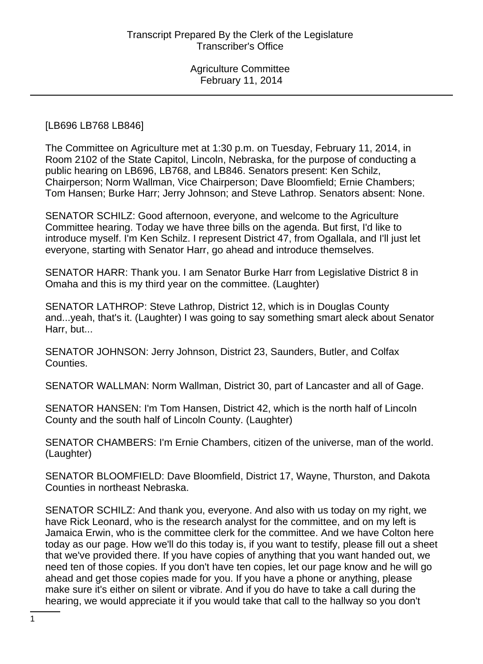#### [LB696 LB768 LB846]

The Committee on Agriculture met at 1:30 p.m. on Tuesday, February 11, 2014, in Room 2102 of the State Capitol, Lincoln, Nebraska, for the purpose of conducting a public hearing on LB696, LB768, and LB846. Senators present: Ken Schilz, Chairperson; Norm Wallman, Vice Chairperson; Dave Bloomfield; Ernie Chambers; Tom Hansen; Burke Harr; Jerry Johnson; and Steve Lathrop. Senators absent: None.

SENATOR SCHILZ: Good afternoon, everyone, and welcome to the Agriculture Committee hearing. Today we have three bills on the agenda. But first, I'd like to introduce myself. I'm Ken Schilz. I represent District 47, from Ogallala, and I'll just let everyone, starting with Senator Harr, go ahead and introduce themselves.

SENATOR HARR: Thank you. I am Senator Burke Harr from Legislative District 8 in Omaha and this is my third year on the committee. (Laughter)

SENATOR LATHROP: Steve Lathrop, District 12, which is in Douglas County and...yeah, that's it. (Laughter) I was going to say something smart aleck about Senator Harr, but...

SENATOR JOHNSON: Jerry Johnson, District 23, Saunders, Butler, and Colfax Counties.

SENATOR WALLMAN: Norm Wallman, District 30, part of Lancaster and all of Gage.

SENATOR HANSEN: I'm Tom Hansen, District 42, which is the north half of Lincoln County and the south half of Lincoln County. (Laughter)

SENATOR CHAMBERS: I'm Ernie Chambers, citizen of the universe, man of the world. (Laughter)

SENATOR BLOOMFIELD: Dave Bloomfield, District 17, Wayne, Thurston, and Dakota Counties in northeast Nebraska.

SENATOR SCHILZ: And thank you, everyone. And also with us today on my right, we have Rick Leonard, who is the research analyst for the committee, and on my left is Jamaica Erwin, who is the committee clerk for the committee. And we have Colton here today as our page. How we'll do this today is, if you want to testify, please fill out a sheet that we've provided there. If you have copies of anything that you want handed out, we need ten of those copies. If you don't have ten copies, let our page know and he will go ahead and get those copies made for you. If you have a phone or anything, please make sure it's either on silent or vibrate. And if you do have to take a call during the hearing, we would appreciate it if you would take that call to the hallway so you don't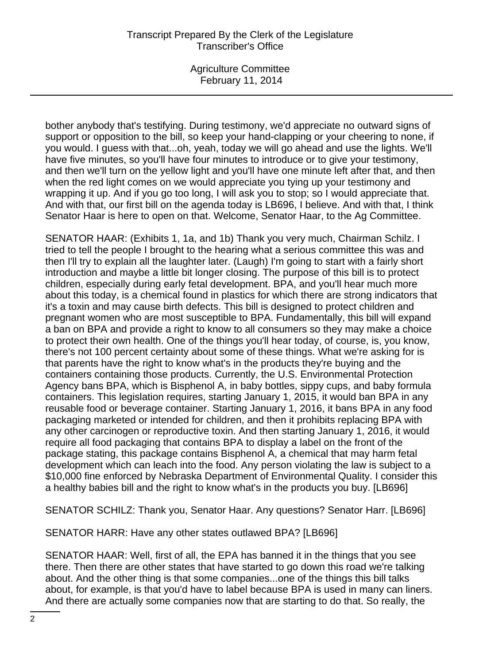Agriculture Committee February 11, 2014

bother anybody that's testifying. During testimony, we'd appreciate no outward signs of support or opposition to the bill, so keep your hand-clapping or your cheering to none, if you would. I guess with that...oh, yeah, today we will go ahead and use the lights. We'll have five minutes, so you'll have four minutes to introduce or to give your testimony, and then we'll turn on the yellow light and you'll have one minute left after that, and then when the red light comes on we would appreciate you tying up your testimony and wrapping it up. And if you go too long, I will ask you to stop; so I would appreciate that. And with that, our first bill on the agenda today is LB696, I believe. And with that, I think Senator Haar is here to open on that. Welcome, Senator Haar, to the Ag Committee.

SENATOR HAAR: (Exhibits 1, 1a, and 1b) Thank you very much, Chairman Schilz. I tried to tell the people I brought to the hearing what a serious committee this was and then I'll try to explain all the laughter later. (Laugh) I'm going to start with a fairly short introduction and maybe a little bit longer closing. The purpose of this bill is to protect children, especially during early fetal development. BPA, and you'll hear much more about this today, is a chemical found in plastics for which there are strong indicators that it's a toxin and may cause birth defects. This bill is designed to protect children and pregnant women who are most susceptible to BPA. Fundamentally, this bill will expand a ban on BPA and provide a right to know to all consumers so they may make a choice to protect their own health. One of the things you'll hear today, of course, is, you know, there's not 100 percent certainty about some of these things. What we're asking for is that parents have the right to know what's in the products they're buying and the containers containing those products. Currently, the U.S. Environmental Protection Agency bans BPA, which is Bisphenol A, in baby bottles, sippy cups, and baby formula containers. This legislation requires, starting January 1, 2015, it would ban BPA in any reusable food or beverage container. Starting January 1, 2016, it bans BPA in any food packaging marketed or intended for children, and then it prohibits replacing BPA with any other carcinogen or reproductive toxin. And then starting January 1, 2016, it would require all food packaging that contains BPA to display a label on the front of the package stating, this package contains Bisphenol A, a chemical that may harm fetal development which can leach into the food. Any person violating the law is subject to a \$10,000 fine enforced by Nebraska Department of Environmental Quality. I consider this a healthy babies bill and the right to know what's in the products you buy. [LB696]

SENATOR SCHILZ: Thank you, Senator Haar. Any questions? Senator Harr. [LB696]

SENATOR HARR: Have any other states outlawed BPA? [LB696]

SENATOR HAAR: Well, first of all, the EPA has banned it in the things that you see there. Then there are other states that have started to go down this road we're talking about. And the other thing is that some companies...one of the things this bill talks about, for example, is that you'd have to label because BPA is used in many can liners. And there are actually some companies now that are starting to do that. So really, the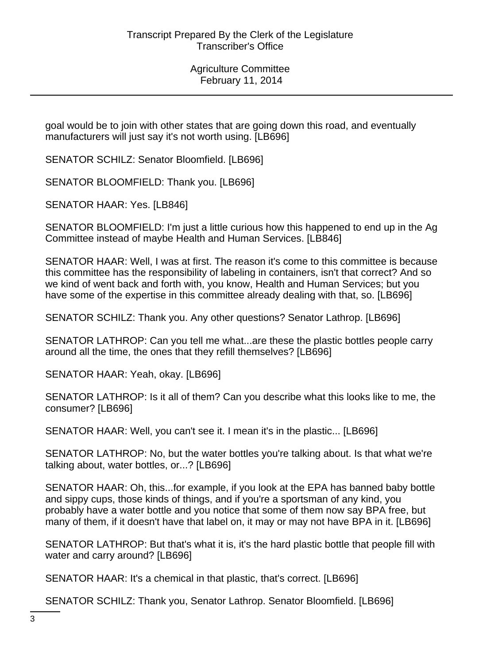goal would be to join with other states that are going down this road, and eventually manufacturers will just say it's not worth using. [LB696]

SENATOR SCHILZ: Senator Bloomfield. [LB696]

SENATOR BLOOMFIELD: Thank you. [LB696]

SENATOR HAAR: Yes. [LB846]

SENATOR BLOOMFIELD: I'm just a little curious how this happened to end up in the Ag Committee instead of maybe Health and Human Services. [LB846]

SENATOR HAAR: Well, I was at first. The reason it's come to this committee is because this committee has the responsibility of labeling in containers, isn't that correct? And so we kind of went back and forth with, you know, Health and Human Services; but you have some of the expertise in this committee already dealing with that, so. [LB696]

SENATOR SCHILZ: Thank you. Any other questions? Senator Lathrop. [LB696]

SENATOR LATHROP: Can you tell me what...are these the plastic bottles people carry around all the time, the ones that they refill themselves? [LB696]

SENATOR HAAR: Yeah, okay. [LB696]

SENATOR LATHROP: Is it all of them? Can you describe what this looks like to me, the consumer? [LB696]

SENATOR HAAR: Well, you can't see it. I mean it's in the plastic... [LB696]

SENATOR LATHROP: No, but the water bottles you're talking about. Is that what we're talking about, water bottles, or...? [LB696]

SENATOR HAAR: Oh, this...for example, if you look at the EPA has banned baby bottle and sippy cups, those kinds of things, and if you're a sportsman of any kind, you probably have a water bottle and you notice that some of them now say BPA free, but many of them, if it doesn't have that label on, it may or may not have BPA in it. [LB696]

SENATOR LATHROP: But that's what it is, it's the hard plastic bottle that people fill with water and carry around? [LB696]

SENATOR HAAR: It's a chemical in that plastic, that's correct. [LB696]

SENATOR SCHILZ: Thank you, Senator Lathrop. Senator Bloomfield. [LB696]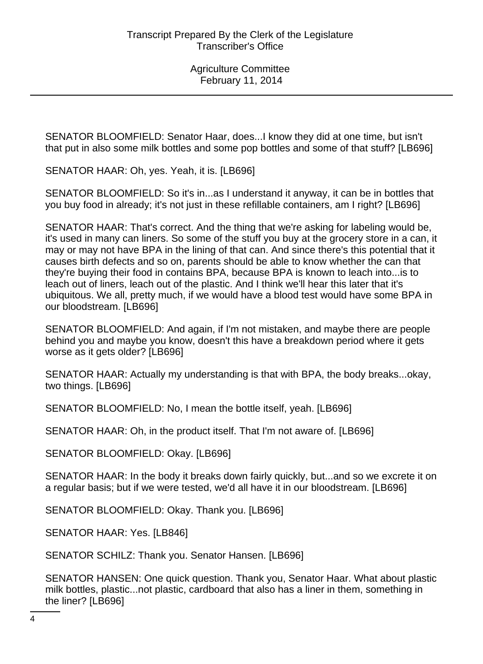SENATOR BLOOMFIELD: Senator Haar, does...I know they did at one time, but isn't that put in also some milk bottles and some pop bottles and some of that stuff? [LB696]

SENATOR HAAR: Oh, yes. Yeah, it is. [LB696]

SENATOR BLOOMFIELD: So it's in...as I understand it anyway, it can be in bottles that you buy food in already; it's not just in these refillable containers, am I right? [LB696]

SENATOR HAAR: That's correct. And the thing that we're asking for labeling would be, it's used in many can liners. So some of the stuff you buy at the grocery store in a can, it may or may not have BPA in the lining of that can. And since there's this potential that it causes birth defects and so on, parents should be able to know whether the can that they're buying their food in contains BPA, because BPA is known to leach into...is to leach out of liners, leach out of the plastic. And I think we'll hear this later that it's ubiquitous. We all, pretty much, if we would have a blood test would have some BPA in our bloodstream. [LB696]

SENATOR BLOOMFIELD: And again, if I'm not mistaken, and maybe there are people behind you and maybe you know, doesn't this have a breakdown period where it gets worse as it gets older? [LB696]

SENATOR HAAR: Actually my understanding is that with BPA, the body breaks...okay, two things. [LB696]

SENATOR BLOOMFIELD: No, I mean the bottle itself, yeah. [LB696]

SENATOR HAAR: Oh, in the product itself. That I'm not aware of. [LB696]

SENATOR BLOOMFIELD: Okay. [LB696]

SENATOR HAAR: In the body it breaks down fairly quickly, but...and so we excrete it on a regular basis; but if we were tested, we'd all have it in our bloodstream. [LB696]

SENATOR BLOOMFIELD: Okay. Thank you. [LB696]

SENATOR HAAR: Yes. [LB846]

SENATOR SCHILZ: Thank you. Senator Hansen. [LB696]

SENATOR HANSEN: One quick question. Thank you, Senator Haar. What about plastic milk bottles, plastic...not plastic, cardboard that also has a liner in them, something in the liner? [LB696]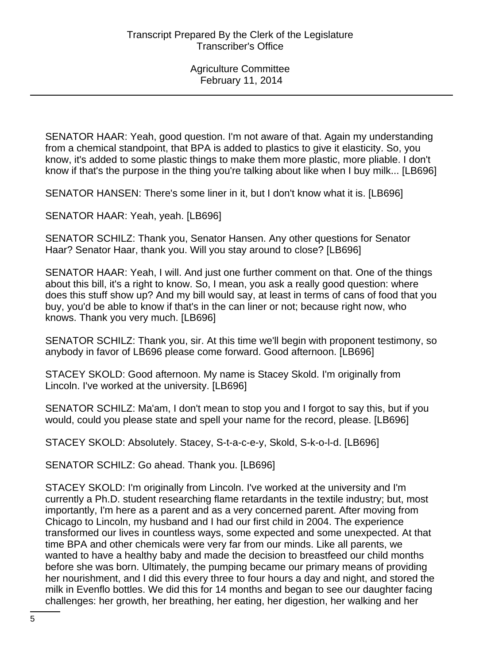SENATOR HAAR: Yeah, good question. I'm not aware of that. Again my understanding from a chemical standpoint, that BPA is added to plastics to give it elasticity. So, you know, it's added to some plastic things to make them more plastic, more pliable. I don't know if that's the purpose in the thing you're talking about like when I buy milk... [LB696]

SENATOR HANSEN: There's some liner in it, but I don't know what it is. [LB696]

SENATOR HAAR: Yeah, yeah. [LB696]

SENATOR SCHILZ: Thank you, Senator Hansen. Any other questions for Senator Haar? Senator Haar, thank you. Will you stay around to close? [LB696]

SENATOR HAAR: Yeah, I will. And just one further comment on that. One of the things about this bill, it's a right to know. So, I mean, you ask a really good question: where does this stuff show up? And my bill would say, at least in terms of cans of food that you buy, you'd be able to know if that's in the can liner or not; because right now, who knows. Thank you very much. [LB696]

SENATOR SCHILZ: Thank you, sir. At this time we'll begin with proponent testimony, so anybody in favor of LB696 please come forward. Good afternoon. [LB696]

STACEY SKOLD: Good afternoon. My name is Stacey Skold. I'm originally from Lincoln. I've worked at the university. [LB696]

SENATOR SCHILZ: Ma'am, I don't mean to stop you and I forgot to say this, but if you would, could you please state and spell your name for the record, please. [LB696]

STACEY SKOLD: Absolutely. Stacey, S-t-a-c-e-y, Skold, S-k-o-l-d. [LB696]

SENATOR SCHILZ: Go ahead. Thank you. [LB696]

STACEY SKOLD: I'm originally from Lincoln. I've worked at the university and I'm currently a Ph.D. student researching flame retardants in the textile industry; but, most importantly, I'm here as a parent and as a very concerned parent. After moving from Chicago to Lincoln, my husband and I had our first child in 2004. The experience transformed our lives in countless ways, some expected and some unexpected. At that time BPA and other chemicals were very far from our minds. Like all parents, we wanted to have a healthy baby and made the decision to breastfeed our child months before she was born. Ultimately, the pumping became our primary means of providing her nourishment, and I did this every three to four hours a day and night, and stored the milk in Evenflo bottles. We did this for 14 months and began to see our daughter facing challenges: her growth, her breathing, her eating, her digestion, her walking and her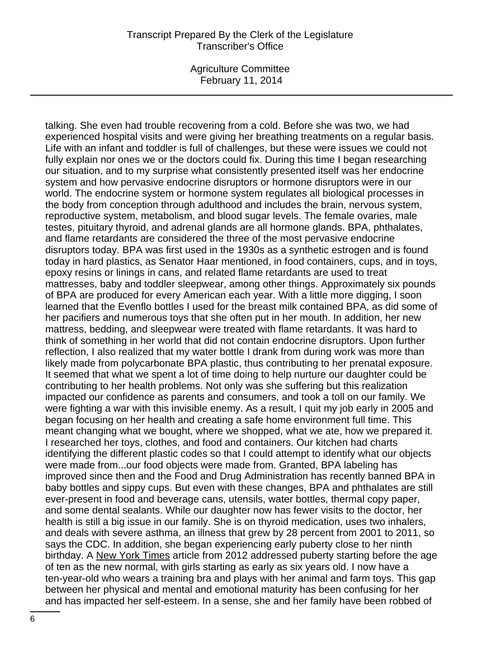Agriculture Committee February 11, 2014

talking. She even had trouble recovering from a cold. Before she was two, we had experienced hospital visits and were giving her breathing treatments on a regular basis. Life with an infant and toddler is full of challenges, but these were issues we could not fully explain nor ones we or the doctors could fix. During this time I began researching our situation, and to my surprise what consistently presented itself was her endocrine system and how pervasive endocrine disruptors or hormone disruptors were in our world. The endocrine system or hormone system regulates all biological processes in the body from conception through adulthood and includes the brain, nervous system, reproductive system, metabolism, and blood sugar levels. The female ovaries, male testes, pituitary thyroid, and adrenal glands are all hormone glands. BPA, phthalates, and flame retardants are considered the three of the most pervasive endocrine disruptors today. BPA was first used in the 1930s as a synthetic estrogen and is found today in hard plastics, as Senator Haar mentioned, in food containers, cups, and in toys, epoxy resins or linings in cans, and related flame retardants are used to treat mattresses, baby and toddler sleepwear, among other things. Approximately six pounds of BPA are produced for every American each year. With a little more digging, I soon learned that the Evenflo bottles I used for the breast milk contained BPA, as did some of her pacifiers and numerous toys that she often put in her mouth. In addition, her new mattress, bedding, and sleepwear were treated with flame retardants. It was hard to think of something in her world that did not contain endocrine disruptors. Upon further reflection, I also realized that my water bottle I drank from during work was more than likely made from polycarbonate BPA plastic, thus contributing to her prenatal exposure. It seemed that what we spent a lot of time doing to help nurture our daughter could be contributing to her health problems. Not only was she suffering but this realization impacted our confidence as parents and consumers, and took a toll on our family. We were fighting a war with this invisible enemy. As a result, I quit my job early in 2005 and began focusing on her health and creating a safe home environment full time. This meant changing what we bought, where we shopped, what we ate, how we prepared it. I researched her toys, clothes, and food and containers. Our kitchen had charts identifying the different plastic codes so that I could attempt to identify what our objects were made from...our food objects were made from. Granted, BPA labeling has improved since then and the Food and Drug Administration has recently banned BPA in baby bottles and sippy cups. But even with these changes, BPA and phthalates are still ever-present in food and beverage cans, utensils, water bottles, thermal copy paper, and some dental sealants. While our daughter now has fewer visits to the doctor, her health is still a big issue in our family. She is on thyroid medication, uses two inhalers, and deals with severe asthma, an illness that grew by 28 percent from 2001 to 2011, so says the CDC. In addition, she began experiencing early puberty close to her ninth birthday. A New York Times article from 2012 addressed puberty starting before the age of ten as the new normal, with girls starting as early as six years old. I now have a ten-year-old who wears a training bra and plays with her animal and farm toys. This gap between her physical and mental and emotional maturity has been confusing for her and has impacted her self-esteem. In a sense, she and her family have been robbed of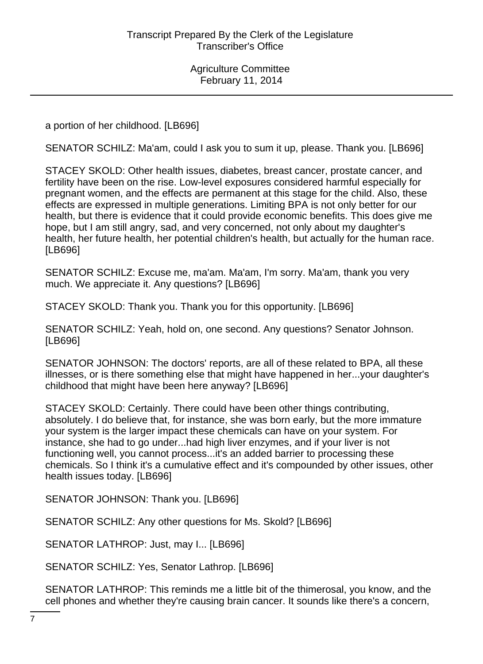a portion of her childhood. [LB696]

SENATOR SCHILZ: Ma'am, could I ask you to sum it up, please. Thank you. [LB696]

STACEY SKOLD: Other health issues, diabetes, breast cancer, prostate cancer, and fertility have been on the rise. Low-level exposures considered harmful especially for pregnant women, and the effects are permanent at this stage for the child. Also, these effects are expressed in multiple generations. Limiting BPA is not only better for our health, but there is evidence that it could provide economic benefits. This does give me hope, but I am still angry, sad, and very concerned, not only about my daughter's health, her future health, her potential children's health, but actually for the human race. [LB696]

SENATOR SCHILZ: Excuse me, ma'am. Ma'am, I'm sorry. Ma'am, thank you very much. We appreciate it. Any questions? [LB696]

STACEY SKOLD: Thank you. Thank you for this opportunity. [LB696]

SENATOR SCHILZ: Yeah, hold on, one second. Any questions? Senator Johnson. [LB696]

SENATOR JOHNSON: The doctors' reports, are all of these related to BPA, all these illnesses, or is there something else that might have happened in her...your daughter's childhood that might have been here anyway? [LB696]

STACEY SKOLD: Certainly. There could have been other things contributing, absolutely. I do believe that, for instance, she was born early, but the more immature your system is the larger impact these chemicals can have on your system. For instance, she had to go under...had high liver enzymes, and if your liver is not functioning well, you cannot process...it's an added barrier to processing these chemicals. So I think it's a cumulative effect and it's compounded by other issues, other health issues today. [LB696]

SENATOR JOHNSON: Thank you. [LB696]

SENATOR SCHILZ: Any other questions for Ms. Skold? [LB696]

SENATOR LATHROP: Just, may I... [LB696]

SENATOR SCHILZ: Yes, Senator Lathrop. [LB696]

SENATOR LATHROP: This reminds me a little bit of the thimerosal, you know, and the cell phones and whether they're causing brain cancer. It sounds like there's a concern,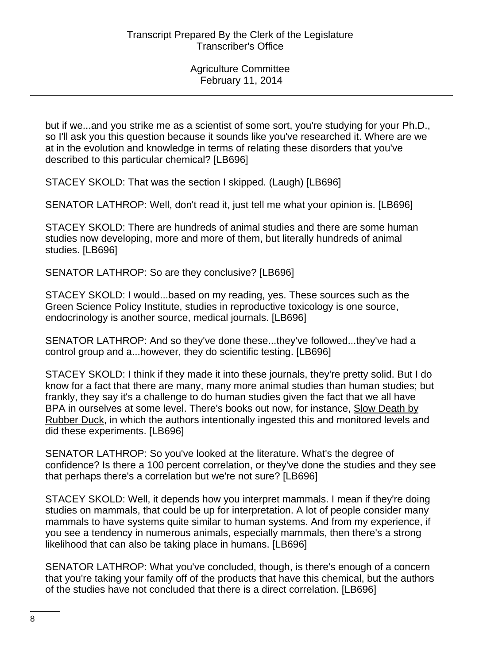but if we...and you strike me as a scientist of some sort, you're studying for your Ph.D., so I'll ask you this question because it sounds like you've researched it. Where are we at in the evolution and knowledge in terms of relating these disorders that you've described to this particular chemical? [LB696]

STACEY SKOLD: That was the section I skipped. (Laugh) [LB696]

SENATOR LATHROP: Well, don't read it, just tell me what your opinion is. [LB696]

STACEY SKOLD: There are hundreds of animal studies and there are some human studies now developing, more and more of them, but literally hundreds of animal studies. [LB696]

SENATOR LATHROP: So are they conclusive? [LB696]

STACEY SKOLD: I would...based on my reading, yes. These sources such as the Green Science Policy Institute, studies in reproductive toxicology is one source, endocrinology is another source, medical journals. [LB696]

SENATOR LATHROP: And so they've done these...they've followed...they've had a control group and a...however, they do scientific testing. [LB696]

STACEY SKOLD: I think if they made it into these journals, they're pretty solid. But I do know for a fact that there are many, many more animal studies than human studies; but frankly, they say it's a challenge to do human studies given the fact that we all have BPA in ourselves at some level. There's books out now, for instance, Slow Death by Rubber Duck, in which the authors intentionally ingested this and monitored levels and did these experiments. [LB696]

SENATOR LATHROP: So you've looked at the literature. What's the degree of confidence? Is there a 100 percent correlation, or they've done the studies and they see that perhaps there's a correlation but we're not sure? [LB696]

STACEY SKOLD: Well, it depends how you interpret mammals. I mean if they're doing studies on mammals, that could be up for interpretation. A lot of people consider many mammals to have systems quite similar to human systems. And from my experience, if you see a tendency in numerous animals, especially mammals, then there's a strong likelihood that can also be taking place in humans. [LB696]

SENATOR LATHROP: What you've concluded, though, is there's enough of a concern that you're taking your family off of the products that have this chemical, but the authors of the studies have not concluded that there is a direct correlation. [LB696]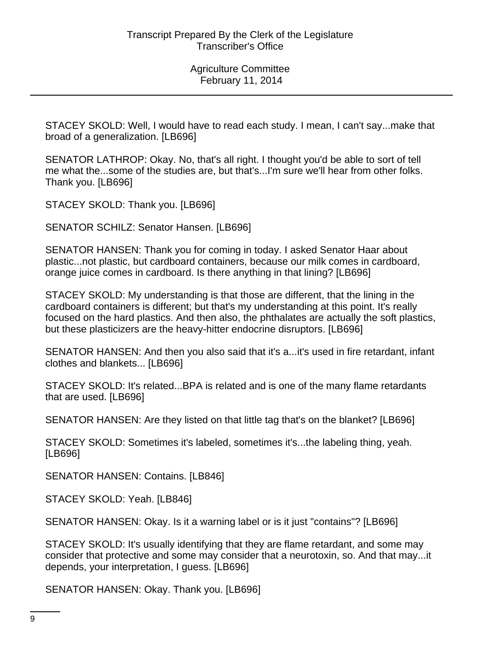STACEY SKOLD: Well, I would have to read each study. I mean, I can't say...make that broad of a generalization. [LB696]

SENATOR LATHROP: Okay. No, that's all right. I thought you'd be able to sort of tell me what the...some of the studies are, but that's...I'm sure we'll hear from other folks. Thank you. [LB696]

STACEY SKOLD: Thank you. [LB696]

SENATOR SCHILZ: Senator Hansen. [LB696]

SENATOR HANSEN: Thank you for coming in today. I asked Senator Haar about plastic...not plastic, but cardboard containers, because our milk comes in cardboard, orange juice comes in cardboard. Is there anything in that lining? [LB696]

STACEY SKOLD: My understanding is that those are different, that the lining in the cardboard containers is different; but that's my understanding at this point. It's really focused on the hard plastics. And then also, the phthalates are actually the soft plastics, but these plasticizers are the heavy-hitter endocrine disruptors. [LB696]

SENATOR HANSEN: And then you also said that it's a...it's used in fire retardant, infant clothes and blankets... [LB696]

STACEY SKOLD: It's related...BPA is related and is one of the many flame retardants that are used. [LB696]

SENATOR HANSEN: Are they listed on that little tag that's on the blanket? [LB696]

STACEY SKOLD: Sometimes it's labeled, sometimes it's...the labeling thing, yeah. [LB696]

SENATOR HANSEN: Contains. [LB846]

STACEY SKOLD: Yeah. [LB846]

SENATOR HANSEN: Okay. Is it a warning label or is it just "contains"? [LB696]

STACEY SKOLD: It's usually identifying that they are flame retardant, and some may consider that protective and some may consider that a neurotoxin, so. And that may...it depends, your interpretation, I guess. [LB696]

SENATOR HANSEN: Okay. Thank you. [LB696]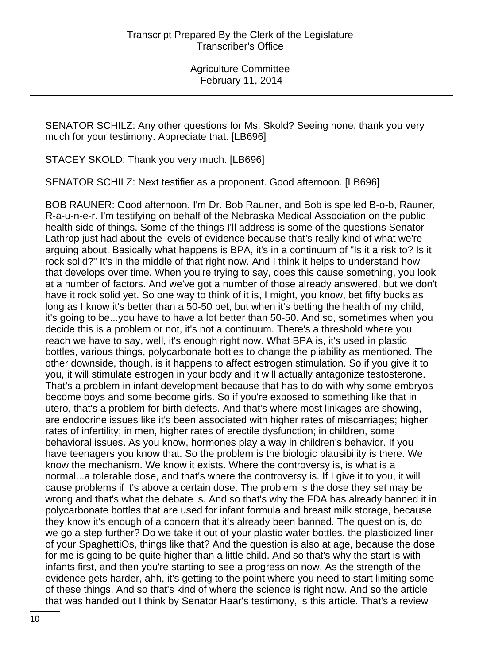SENATOR SCHILZ: Any other questions for Ms. Skold? Seeing none, thank you very much for your testimony. Appreciate that. [LB696]

STACEY SKOLD: Thank you very much. [LB696]

SENATOR SCHILZ: Next testifier as a proponent. Good afternoon. [LB696]

BOB RAUNER: Good afternoon. I'm Dr. Bob Rauner, and Bob is spelled B-o-b, Rauner, R-a-u-n-e-r. I'm testifying on behalf of the Nebraska Medical Association on the public health side of things. Some of the things I'll address is some of the questions Senator Lathrop just had about the levels of evidence because that's really kind of what we're arguing about. Basically what happens is BPA, it's in a continuum of "Is it a risk to? Is it rock solid?" It's in the middle of that right now. And I think it helps to understand how that develops over time. When you're trying to say, does this cause something, you look at a number of factors. And we've got a number of those already answered, but we don't have it rock solid yet. So one way to think of it is, I might, you know, bet fifty bucks as long as I know it's better than a 50-50 bet, but when it's betting the health of my child, it's going to be...you have to have a lot better than 50-50. And so, sometimes when you decide this is a problem or not, it's not a continuum. There's a threshold where you reach we have to say, well, it's enough right now. What BPA is, it's used in plastic bottles, various things, polycarbonate bottles to change the pliability as mentioned. The other downside, though, is it happens to affect estrogen stimulation. So if you give it to you, it will stimulate estrogen in your body and it will actually antagonize testosterone. That's a problem in infant development because that has to do with why some embryos become boys and some become girls. So if you're exposed to something like that in utero, that's a problem for birth defects. And that's where most linkages are showing, are endocrine issues like it's been associated with higher rates of miscarriages; higher rates of infertility; in men, higher rates of erectile dysfunction; in children, some behavioral issues. As you know, hormones play a way in children's behavior. If you have teenagers you know that. So the problem is the biologic plausibility is there. We know the mechanism. We know it exists. Where the controversy is, is what is a normal...a tolerable dose, and that's where the controversy is. If I give it to you, it will cause problems if it's above a certain dose. The problem is the dose they set may be wrong and that's what the debate is. And so that's why the FDA has already banned it in polycarbonate bottles that are used for infant formula and breast milk storage, because they know it's enough of a concern that it's already been banned. The question is, do we go a step further? Do we take it out of your plastic water bottles, the plasticized liner of your SpaghettiOs, things like that? And the question is also at age, because the dose for me is going to be quite higher than a little child. And so that's why the start is with infants first, and then you're starting to see a progression now. As the strength of the evidence gets harder, ahh, it's getting to the point where you need to start limiting some of these things. And so that's kind of where the science is right now. And so the article that was handed out I think by Senator Haar's testimony, is this article. That's a review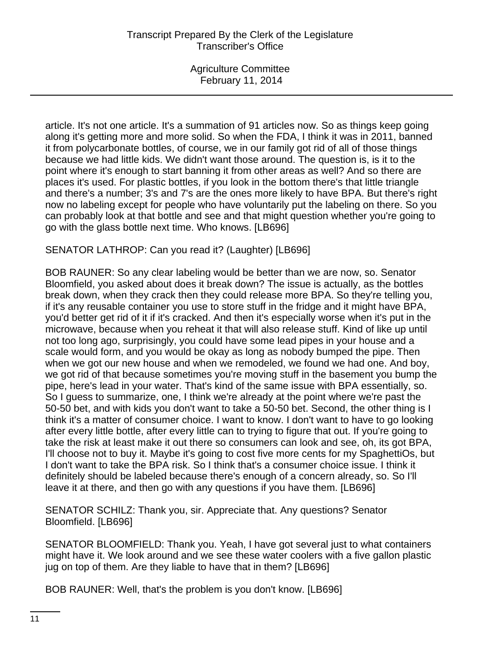article. It's not one article. It's a summation of 91 articles now. So as things keep going along it's getting more and more solid. So when the FDA, I think it was in 2011, banned it from polycarbonate bottles, of course, we in our family got rid of all of those things because we had little kids. We didn't want those around. The question is, is it to the point where it's enough to start banning it from other areas as well? And so there are places it's used. For plastic bottles, if you look in the bottom there's that little triangle and there's a number; 3's and 7's are the ones more likely to have BPA. But there's right now no labeling except for people who have voluntarily put the labeling on there. So you can probably look at that bottle and see and that might question whether you're going to go with the glass bottle next time. Who knows. [LB696]

SENATOR LATHROP: Can you read it? (Laughter) [LB696]

BOB RAUNER: So any clear labeling would be better than we are now, so. Senator Bloomfield, you asked about does it break down? The issue is actually, as the bottles break down, when they crack then they could release more BPA. So they're telling you, if it's any reusable container you use to store stuff in the fridge and it might have BPA, you'd better get rid of it if it's cracked. And then it's especially worse when it's put in the microwave, because when you reheat it that will also release stuff. Kind of like up until not too long ago, surprisingly, you could have some lead pipes in your house and a scale would form, and you would be okay as long as nobody bumped the pipe. Then when we got our new house and when we remodeled, we found we had one. And boy, we got rid of that because sometimes you're moving stuff in the basement you bump the pipe, here's lead in your water. That's kind of the same issue with BPA essentially, so. So I guess to summarize, one, I think we're already at the point where we're past the 50-50 bet, and with kids you don't want to take a 50-50 bet. Second, the other thing is I think it's a matter of consumer choice. I want to know. I don't want to have to go looking after every little bottle, after every little can to trying to figure that out. If you're going to take the risk at least make it out there so consumers can look and see, oh, its got BPA, I'll choose not to buy it. Maybe it's going to cost five more cents for my SpaghettiOs, but I don't want to take the BPA risk. So I think that's a consumer choice issue. I think it definitely should be labeled because there's enough of a concern already, so. So I'll leave it at there, and then go with any questions if you have them. [LB696]

SENATOR SCHILZ: Thank you, sir. Appreciate that. Any questions? Senator Bloomfield. [LB696]

SENATOR BLOOMFIELD: Thank you. Yeah, I have got several just to what containers might have it. We look around and we see these water coolers with a five gallon plastic jug on top of them. Are they liable to have that in them? [LB696]

BOB RAUNER: Well, that's the problem is you don't know. [LB696]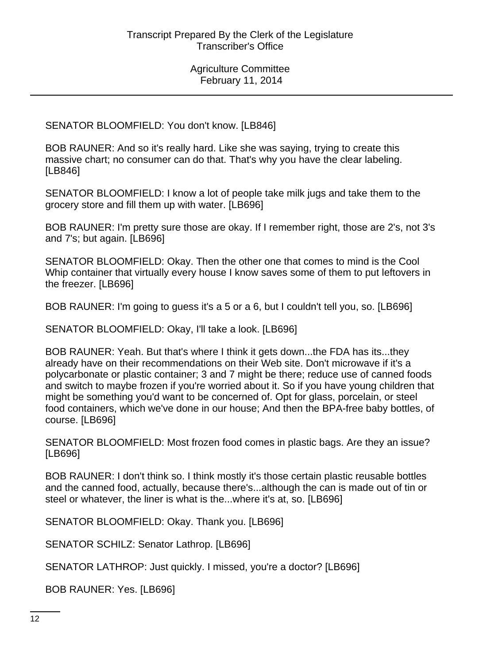SENATOR BLOOMFIELD: You don't know. [LB846]

BOB RAUNER: And so it's really hard. Like she was saying, trying to create this massive chart; no consumer can do that. That's why you have the clear labeling. [LB846]

SENATOR BLOOMFIELD: I know a lot of people take milk jugs and take them to the grocery store and fill them up with water. [LB696]

BOB RAUNER: I'm pretty sure those are okay. If I remember right, those are 2's, not 3's and 7's; but again. [LB696]

SENATOR BLOOMFIELD: Okay. Then the other one that comes to mind is the Cool Whip container that virtually every house I know saves some of them to put leftovers in the freezer. [LB696]

BOB RAUNER: I'm going to guess it's a 5 or a 6, but I couldn't tell you, so. [LB696]

SENATOR BLOOMFIELD: Okay, I'll take a look. [LB696]

BOB RAUNER: Yeah. But that's where I think it gets down...the FDA has its...they already have on their recommendations on their Web site. Don't microwave if it's a polycarbonate or plastic container; 3 and 7 might be there; reduce use of canned foods and switch to maybe frozen if you're worried about it. So if you have young children that might be something you'd want to be concerned of. Opt for glass, porcelain, or steel food containers, which we've done in our house; And then the BPA-free baby bottles, of course. [LB696]

SENATOR BLOOMFIELD: Most frozen food comes in plastic bags. Are they an issue? [LB696]

BOB RAUNER: I don't think so. I think mostly it's those certain plastic reusable bottles and the canned food, actually, because there's...although the can is made out of tin or steel or whatever, the liner is what is the...where it's at, so. [LB696]

SENATOR BLOOMFIELD: Okay. Thank you. [LB696]

SENATOR SCHILZ: Senator Lathrop. [LB696]

SENATOR LATHROP: Just quickly. I missed, you're a doctor? [LB696]

BOB RAUNER: Yes. [LB696]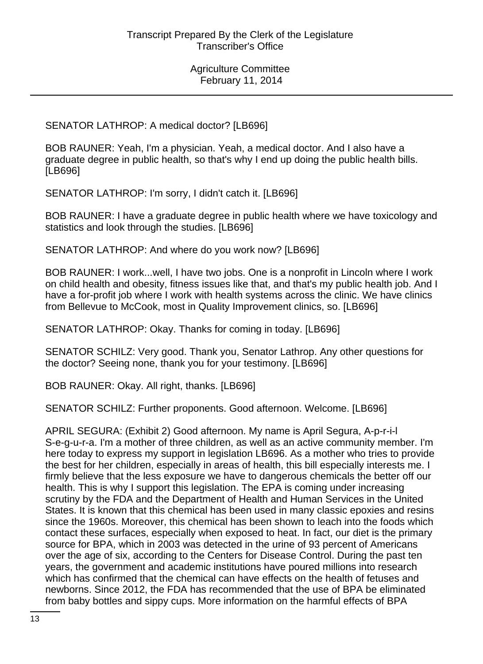# SENATOR LATHROP: A medical doctor? [LB696]

BOB RAUNER: Yeah, I'm a physician. Yeah, a medical doctor. And I also have a graduate degree in public health, so that's why I end up doing the public health bills. [LB696]

SENATOR LATHROP: I'm sorry, I didn't catch it. [LB696]

BOB RAUNER: I have a graduate degree in public health where we have toxicology and statistics and look through the studies. [LB696]

SENATOR LATHROP: And where do you work now? [LB696]

BOB RAUNER: I work...well, I have two jobs. One is a nonprofit in Lincoln where I work on child health and obesity, fitness issues like that, and that's my public health job. And I have a for-profit job where I work with health systems across the clinic. We have clinics from Bellevue to McCook, most in Quality Improvement clinics, so. [LB696]

SENATOR LATHROP: Okay. Thanks for coming in today. [LB696]

SENATOR SCHILZ: Very good. Thank you, Senator Lathrop. Any other questions for the doctor? Seeing none, thank you for your testimony. [LB696]

BOB RAUNER: Okay. All right, thanks. [LB696]

SENATOR SCHILZ: Further proponents. Good afternoon. Welcome. [LB696]

APRIL SEGURA: (Exhibit 2) Good afternoon. My name is April Segura, A-p-r-i-l S-e-g-u-r-a. I'm a mother of three children, as well as an active community member. I'm here today to express my support in legislation LB696. As a mother who tries to provide the best for her children, especially in areas of health, this bill especially interests me. I firmly believe that the less exposure we have to dangerous chemicals the better off our health. This is why I support this legislation. The EPA is coming under increasing scrutiny by the FDA and the Department of Health and Human Services in the United States. It is known that this chemical has been used in many classic epoxies and resins since the 1960s. Moreover, this chemical has been shown to leach into the foods which contact these surfaces, especially when exposed to heat. In fact, our diet is the primary source for BPA, which in 2003 was detected in the urine of 93 percent of Americans over the age of six, according to the Centers for Disease Control. During the past ten years, the government and academic institutions have poured millions into research which has confirmed that the chemical can have effects on the health of fetuses and newborns. Since 2012, the FDA has recommended that the use of BPA be eliminated from baby bottles and sippy cups. More information on the harmful effects of BPA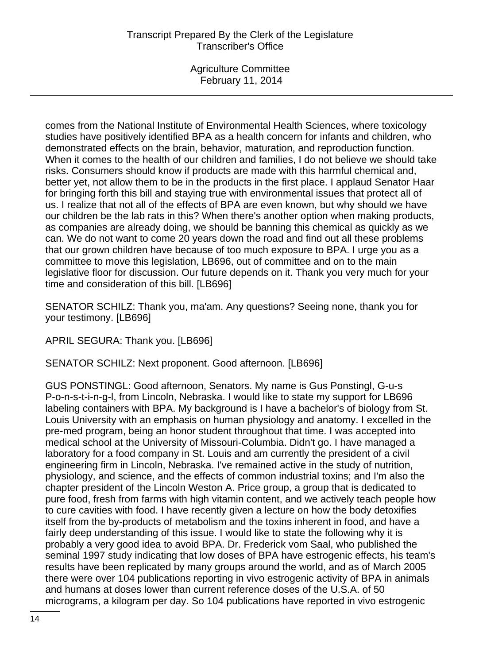Agriculture Committee February 11, 2014

comes from the National Institute of Environmental Health Sciences, where toxicology studies have positively identified BPA as a health concern for infants and children, who demonstrated effects on the brain, behavior, maturation, and reproduction function. When it comes to the health of our children and families, I do not believe we should take risks. Consumers should know if products are made with this harmful chemical and, better yet, not allow them to be in the products in the first place. I applaud Senator Haar for bringing forth this bill and staying true with environmental issues that protect all of us. I realize that not all of the effects of BPA are even known, but why should we have our children be the lab rats in this? When there's another option when making products, as companies are already doing, we should be banning this chemical as quickly as we can. We do not want to come 20 years down the road and find out all these problems that our grown children have because of too much exposure to BPA. I urge you as a committee to move this legislation, LB696, out of committee and on to the main legislative floor for discussion. Our future depends on it. Thank you very much for your time and consideration of this bill. [LB696]

SENATOR SCHILZ: Thank you, ma'am. Any questions? Seeing none, thank you for your testimony. [LB696]

APRIL SEGURA: Thank you. [LB696]

SENATOR SCHILZ: Next proponent. Good afternoon. [LB696]

GUS PONSTINGL: Good afternoon, Senators. My name is Gus Ponstingl, G-u-s P-o-n-s-t-i-n-g-l, from Lincoln, Nebraska. I would like to state my support for LB696 labeling containers with BPA. My background is I have a bachelor's of biology from St. Louis University with an emphasis on human physiology and anatomy. I excelled in the pre-med program, being an honor student throughout that time. I was accepted into medical school at the University of Missouri-Columbia. Didn't go. I have managed a laboratory for a food company in St. Louis and am currently the president of a civil engineering firm in Lincoln, Nebraska. I've remained active in the study of nutrition, physiology, and science, and the effects of common industrial toxins; and I'm also the chapter president of the Lincoln Weston A. Price group, a group that is dedicated to pure food, fresh from farms with high vitamin content, and we actively teach people how to cure cavities with food. I have recently given a lecture on how the body detoxifies itself from the by-products of metabolism and the toxins inherent in food, and have a fairly deep understanding of this issue. I would like to state the following why it is probably a very good idea to avoid BPA. Dr. Frederick vom Saal, who published the seminal 1997 study indicating that low doses of BPA have estrogenic effects, his team's results have been replicated by many groups around the world, and as of March 2005 there were over 104 publications reporting in vivo estrogenic activity of BPA in animals and humans at doses lower than current reference doses of the U.S.A. of 50 micrograms, a kilogram per day. So 104 publications have reported in vivo estrogenic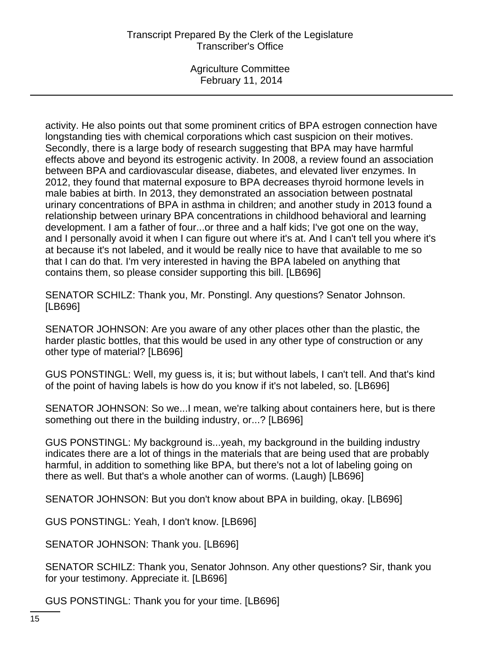Agriculture Committee February 11, 2014

activity. He also points out that some prominent critics of BPA estrogen connection have longstanding ties with chemical corporations which cast suspicion on their motives. Secondly, there is a large body of research suggesting that BPA may have harmful effects above and beyond its estrogenic activity. In 2008, a review found an association between BPA and cardiovascular disease, diabetes, and elevated liver enzymes. In 2012, they found that maternal exposure to BPA decreases thyroid hormone levels in male babies at birth. In 2013, they demonstrated an association between postnatal urinary concentrations of BPA in asthma in children; and another study in 2013 found a relationship between urinary BPA concentrations in childhood behavioral and learning development. I am a father of four...or three and a half kids; I've got one on the way, and I personally avoid it when I can figure out where it's at. And I can't tell you where it's at because it's not labeled, and it would be really nice to have that available to me so that I can do that. I'm very interested in having the BPA labeled on anything that contains them, so please consider supporting this bill. [LB696]

SENATOR SCHILZ: Thank you, Mr. Ponstingl. Any questions? Senator Johnson. [LB696]

SENATOR JOHNSON: Are you aware of any other places other than the plastic, the harder plastic bottles, that this would be used in any other type of construction or any other type of material? [LB696]

GUS PONSTINGL: Well, my guess is, it is; but without labels, I can't tell. And that's kind of the point of having labels is how do you know if it's not labeled, so. [LB696]

SENATOR JOHNSON: So we...I mean, we're talking about containers here, but is there something out there in the building industry, or...? [LB696]

GUS PONSTINGL: My background is...yeah, my background in the building industry indicates there are a lot of things in the materials that are being used that are probably harmful, in addition to something like BPA, but there's not a lot of labeling going on there as well. But that's a whole another can of worms. (Laugh) [LB696]

SENATOR JOHNSON: But you don't know about BPA in building, okay. [LB696]

GUS PONSTINGL: Yeah, I don't know. [LB696]

SENATOR JOHNSON: Thank you. [LB696]

SENATOR SCHILZ: Thank you, Senator Johnson. Any other questions? Sir, thank you for your testimony. Appreciate it. [LB696]

GUS PONSTINGL: Thank you for your time. [LB696]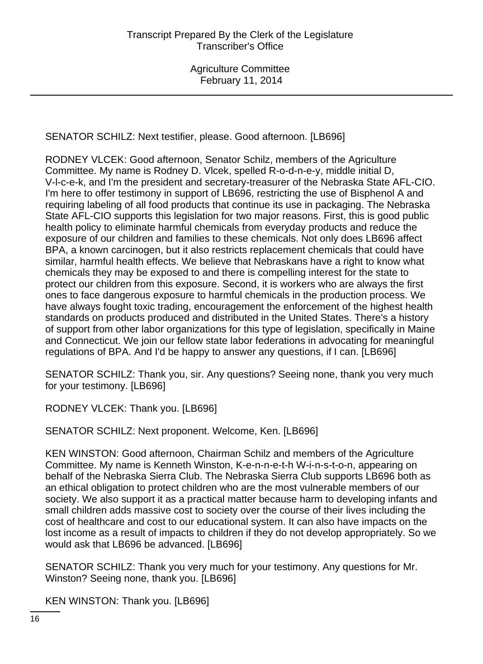SENATOR SCHILZ: Next testifier, please. Good afternoon. [LB696]

RODNEY VLCEK: Good afternoon, Senator Schilz, members of the Agriculture Committee. My name is Rodney D. Vlcek, spelled R-o-d-n-e-y, middle initial D, V-l-c-e-k, and I'm the president and secretary-treasurer of the Nebraska State AFL-CIO. I'm here to offer testimony in support of LB696, restricting the use of Bisphenol A and requiring labeling of all food products that continue its use in packaging. The Nebraska State AFL-CIO supports this legislation for two major reasons. First, this is good public health policy to eliminate harmful chemicals from everyday products and reduce the exposure of our children and families to these chemicals. Not only does LB696 affect BPA, a known carcinogen, but it also restricts replacement chemicals that could have similar, harmful health effects. We believe that Nebraskans have a right to know what chemicals they may be exposed to and there is compelling interest for the state to protect our children from this exposure. Second, it is workers who are always the first ones to face dangerous exposure to harmful chemicals in the production process. We have always fought toxic trading, encouragement the enforcement of the highest health standards on products produced and distributed in the United States. There's a history of support from other labor organizations for this type of legislation, specifically in Maine and Connecticut. We join our fellow state labor federations in advocating for meaningful regulations of BPA. And I'd be happy to answer any questions, if I can. [LB696]

SENATOR SCHILZ: Thank you, sir. Any questions? Seeing none, thank you very much for your testimony. [LB696]

RODNEY VLCEK: Thank you. [LB696]

SENATOR SCHILZ: Next proponent. Welcome, Ken. [LB696]

KEN WINSTON: Good afternoon, Chairman Schilz and members of the Agriculture Committee. My name is Kenneth Winston, K-e-n-n-e-t-h W-i-n-s-t-o-n, appearing on behalf of the Nebraska Sierra Club. The Nebraska Sierra Club supports LB696 both as an ethical obligation to protect children who are the most vulnerable members of our society. We also support it as a practical matter because harm to developing infants and small children adds massive cost to society over the course of their lives including the cost of healthcare and cost to our educational system. It can also have impacts on the lost income as a result of impacts to children if they do not develop appropriately. So we would ask that LB696 be advanced. [LB696]

SENATOR SCHILZ: Thank you very much for your testimony. Any questions for Mr. Winston? Seeing none, thank you. [LB696]

KEN WINSTON: Thank you. [LB696]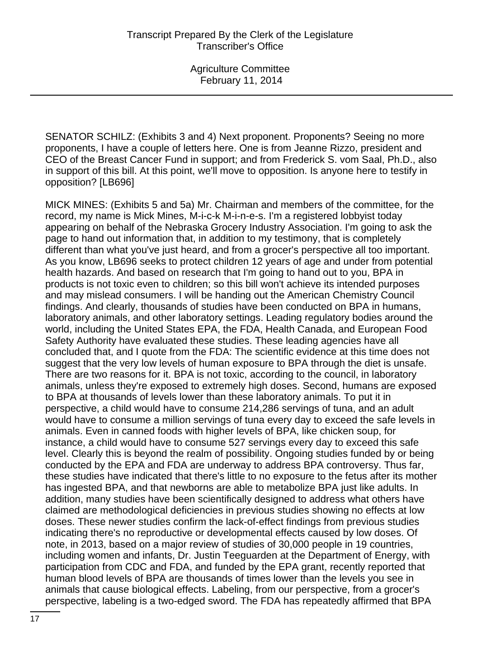SENATOR SCHILZ: (Exhibits 3 and 4) Next proponent. Proponents? Seeing no more proponents, I have a couple of letters here. One is from Jeanne Rizzo, president and CEO of the Breast Cancer Fund in support; and from Frederick S. vom Saal, Ph.D., also in support of this bill. At this point, we'll move to opposition. Is anyone here to testify in opposition? [LB696]

MICK MINES: (Exhibits 5 and 5a) Mr. Chairman and members of the committee, for the record, my name is Mick Mines, M-i-c-k M-i-n-e-s. I'm a registered lobbyist today appearing on behalf of the Nebraska Grocery Industry Association. I'm going to ask the page to hand out information that, in addition to my testimony, that is completely different than what you've just heard, and from a grocer's perspective all too important. As you know, LB696 seeks to protect children 12 years of age and under from potential health hazards. And based on research that I'm going to hand out to you, BPA in products is not toxic even to children; so this bill won't achieve its intended purposes and may mislead consumers. I will be handing out the American Chemistry Council findings. And clearly, thousands of studies have been conducted on BPA in humans, laboratory animals, and other laboratory settings. Leading regulatory bodies around the world, including the United States EPA, the FDA, Health Canada, and European Food Safety Authority have evaluated these studies. These leading agencies have all concluded that, and I quote from the FDA: The scientific evidence at this time does not suggest that the very low levels of human exposure to BPA through the diet is unsafe. There are two reasons for it. BPA is not toxic, according to the council, in laboratory animals, unless they're exposed to extremely high doses. Second, humans are exposed to BPA at thousands of levels lower than these laboratory animals. To put it in perspective, a child would have to consume 214,286 servings of tuna, and an adult would have to consume a million servings of tuna every day to exceed the safe levels in animals. Even in canned foods with higher levels of BPA, like chicken soup, for instance, a child would have to consume 527 servings every day to exceed this safe level. Clearly this is beyond the realm of possibility. Ongoing studies funded by or being conducted by the EPA and FDA are underway to address BPA controversy. Thus far, these studies have indicated that there's little to no exposure to the fetus after its mother has ingested BPA, and that newborns are able to metabolize BPA just like adults. In addition, many studies have been scientifically designed to address what others have claimed are methodological deficiencies in previous studies showing no effects at low doses. These newer studies confirm the lack-of-effect findings from previous studies indicating there's no reproductive or developmental effects caused by low doses. Of note, in 2013, based on a major review of studies of 30,000 people in 19 countries, including women and infants, Dr. Justin Teeguarden at the Department of Energy, with participation from CDC and FDA, and funded by the EPA grant, recently reported that human blood levels of BPA are thousands of times lower than the levels you see in animals that cause biological effects. Labeling, from our perspective, from a grocer's perspective, labeling is a two-edged sword. The FDA has repeatedly affirmed that BPA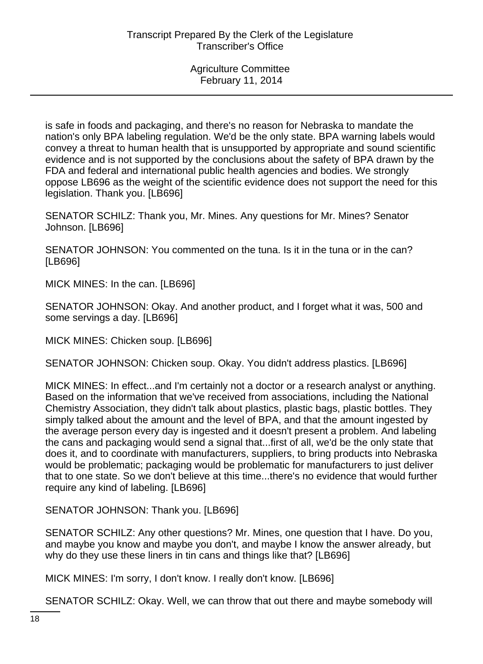is safe in foods and packaging, and there's no reason for Nebraska to mandate the nation's only BPA labeling regulation. We'd be the only state. BPA warning labels would convey a threat to human health that is unsupported by appropriate and sound scientific evidence and is not supported by the conclusions about the safety of BPA drawn by the FDA and federal and international public health agencies and bodies. We strongly oppose LB696 as the weight of the scientific evidence does not support the need for this legislation. Thank you. [LB696]

SENATOR SCHILZ: Thank you, Mr. Mines. Any questions for Mr. Mines? Senator Johnson. [LB696]

SENATOR JOHNSON: You commented on the tuna. Is it in the tuna or in the can? [LB696]

MICK MINES: In the can. [LB696]

SENATOR JOHNSON: Okay. And another product, and I forget what it was, 500 and some servings a day. [LB696]

MICK MINES: Chicken soup. [LB696]

SENATOR JOHNSON: Chicken soup. Okay. You didn't address plastics. [LB696]

MICK MINES: In effect...and I'm certainly not a doctor or a research analyst or anything. Based on the information that we've received from associations, including the National Chemistry Association, they didn't talk about plastics, plastic bags, plastic bottles. They simply talked about the amount and the level of BPA, and that the amount ingested by the average person every day is ingested and it doesn't present a problem. And labeling the cans and packaging would send a signal that...first of all, we'd be the only state that does it, and to coordinate with manufacturers, suppliers, to bring products into Nebraska would be problematic; packaging would be problematic for manufacturers to just deliver that to one state. So we don't believe at this time...there's no evidence that would further require any kind of labeling. [LB696]

SENATOR JOHNSON: Thank you. [LB696]

SENATOR SCHILZ: Any other questions? Mr. Mines, one question that I have. Do you, and maybe you know and maybe you don't, and maybe I know the answer already, but why do they use these liners in tin cans and things like that? [LB696]

MICK MINES: I'm sorry, I don't know. I really don't know. [LB696]

SENATOR SCHILZ: Okay. Well, we can throw that out there and maybe somebody will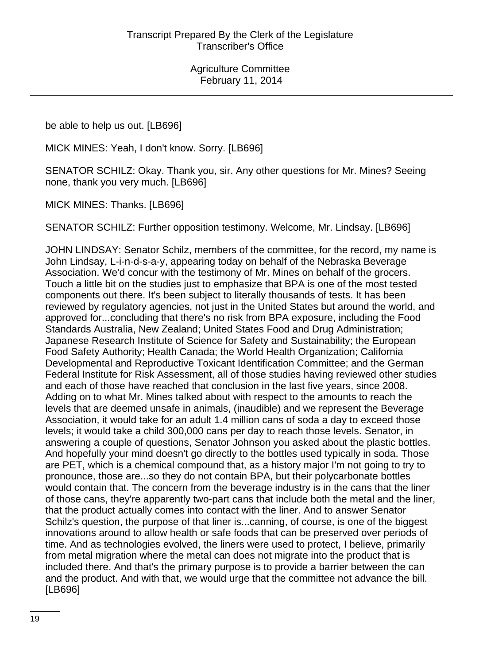be able to help us out. [LB696]

MICK MINES: Yeah, I don't know. Sorry. [LB696]

SENATOR SCHILZ: Okay. Thank you, sir. Any other questions for Mr. Mines? Seeing none, thank you very much. [LB696]

MICK MINES: Thanks. [LB696]

SENATOR SCHILZ: Further opposition testimony. Welcome, Mr. Lindsay. [LB696]

JOHN LINDSAY: Senator Schilz, members of the committee, for the record, my name is John Lindsay, L-i-n-d-s-a-y, appearing today on behalf of the Nebraska Beverage Association. We'd concur with the testimony of Mr. Mines on behalf of the grocers. Touch a little bit on the studies just to emphasize that BPA is one of the most tested components out there. It's been subject to literally thousands of tests. It has been reviewed by regulatory agencies, not just in the United States but around the world, and approved for...concluding that there's no risk from BPA exposure, including the Food Standards Australia, New Zealand; United States Food and Drug Administration; Japanese Research Institute of Science for Safety and Sustainability; the European Food Safety Authority; Health Canada; the World Health Organization; California Developmental and Reproductive Toxicant Identification Committee; and the German Federal Institute for Risk Assessment, all of those studies having reviewed other studies and each of those have reached that conclusion in the last five years, since 2008. Adding on to what Mr. Mines talked about with respect to the amounts to reach the levels that are deemed unsafe in animals, (inaudible) and we represent the Beverage Association, it would take for an adult 1.4 million cans of soda a day to exceed those levels; it would take a child 300,000 cans per day to reach those levels. Senator, in answering a couple of questions, Senator Johnson you asked about the plastic bottles. And hopefully your mind doesn't go directly to the bottles used typically in soda. Those are PET, which is a chemical compound that, as a history major I'm not going to try to pronounce, those are...so they do not contain BPA, but their polycarbonate bottles would contain that. The concern from the beverage industry is in the cans that the liner of those cans, they're apparently two-part cans that include both the metal and the liner, that the product actually comes into contact with the liner. And to answer Senator Schilz's question, the purpose of that liner is...canning, of course, is one of the biggest innovations around to allow health or safe foods that can be preserved over periods of time. And as technologies evolved, the liners were used to protect, I believe, primarily from metal migration where the metal can does not migrate into the product that is included there. And that's the primary purpose is to provide a barrier between the can and the product. And with that, we would urge that the committee not advance the bill. [LB696]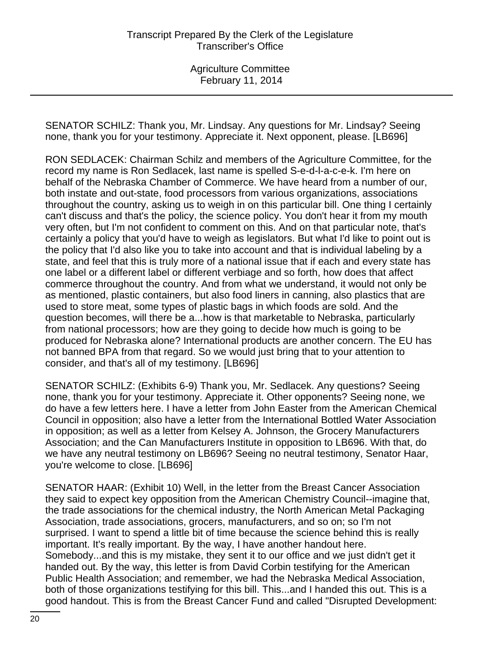SENATOR SCHILZ: Thank you, Mr. Lindsay. Any questions for Mr. Lindsay? Seeing none, thank you for your testimony. Appreciate it. Next opponent, please. [LB696]

RON SEDLACEK: Chairman Schilz and members of the Agriculture Committee, for the record my name is Ron Sedlacek, last name is spelled S-e-d-l-a-c-e-k. I'm here on behalf of the Nebraska Chamber of Commerce. We have heard from a number of our, both instate and out-state, food processors from various organizations, associations throughout the country, asking us to weigh in on this particular bill. One thing I certainly can't discuss and that's the policy, the science policy. You don't hear it from my mouth very often, but I'm not confident to comment on this. And on that particular note, that's certainly a policy that you'd have to weigh as legislators. But what I'd like to point out is the policy that I'd also like you to take into account and that is individual labeling by a state, and feel that this is truly more of a national issue that if each and every state has one label or a different label or different verbiage and so forth, how does that affect commerce throughout the country. And from what we understand, it would not only be as mentioned, plastic containers, but also food liners in canning, also plastics that are used to store meat, some types of plastic bags in which foods are sold. And the question becomes, will there be a...how is that marketable to Nebraska, particularly from national processors; how are they going to decide how much is going to be produced for Nebraska alone? International products are another concern. The EU has not banned BPA from that regard. So we would just bring that to your attention to consider, and that's all of my testimony. [LB696]

SENATOR SCHILZ: (Exhibits 6-9) Thank you, Mr. Sedlacek. Any questions? Seeing none, thank you for your testimony. Appreciate it. Other opponents? Seeing none, we do have a few letters here. I have a letter from John Easter from the American Chemical Council in opposition; also have a letter from the International Bottled Water Association in opposition; as well as a letter from Kelsey A. Johnson, the Grocery Manufacturers Association; and the Can Manufacturers Institute in opposition to LB696. With that, do we have any neutral testimony on LB696? Seeing no neutral testimony, Senator Haar, you're welcome to close. [LB696]

SENATOR HAAR: (Exhibit 10) Well, in the letter from the Breast Cancer Association they said to expect key opposition from the American Chemistry Council--imagine that, the trade associations for the chemical industry, the North American Metal Packaging Association, trade associations, grocers, manufacturers, and so on; so I'm not surprised. I want to spend a little bit of time because the science behind this is really important. It's really important. By the way, I have another handout here. Somebody...and this is my mistake, they sent it to our office and we just didn't get it handed out. By the way, this letter is from David Corbin testifying for the American Public Health Association; and remember, we had the Nebraska Medical Association, both of those organizations testifying for this bill. This...and I handed this out. This is a good handout. This is from the Breast Cancer Fund and called "Disrupted Development: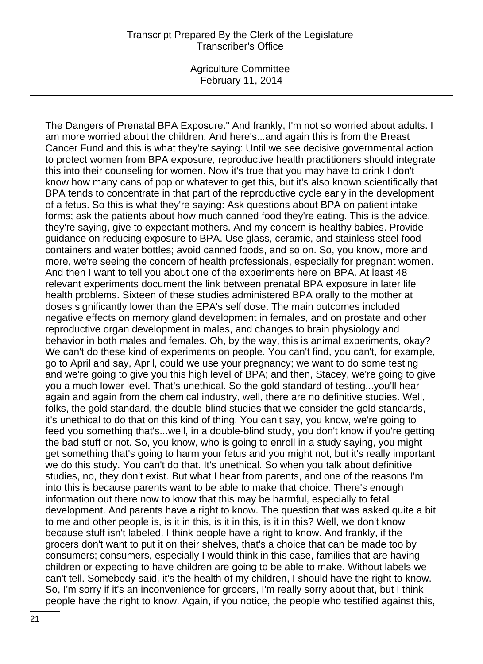Agriculture Committee February 11, 2014

The Dangers of Prenatal BPA Exposure." And frankly, I'm not so worried about adults. I am more worried about the children. And here's...and again this is from the Breast Cancer Fund and this is what they're saying: Until we see decisive governmental action to protect women from BPA exposure, reproductive health practitioners should integrate this into their counseling for women. Now it's true that you may have to drink I don't know how many cans of pop or whatever to get this, but it's also known scientifically that BPA tends to concentrate in that part of the reproductive cycle early in the development of a fetus. So this is what they're saying: Ask questions about BPA on patient intake forms; ask the patients about how much canned food they're eating. This is the advice, they're saying, give to expectant mothers. And my concern is healthy babies. Provide guidance on reducing exposure to BPA. Use glass, ceramic, and stainless steel food containers and water bottles; avoid canned foods, and so on. So, you know, more and more, we're seeing the concern of health professionals, especially for pregnant women. And then I want to tell you about one of the experiments here on BPA. At least 48 relevant experiments document the link between prenatal BPA exposure in later life health problems. Sixteen of these studies administered BPA orally to the mother at doses significantly lower than the EPA's self dose. The main outcomes included negative effects on memory gland development in females, and on prostate and other reproductive organ development in males, and changes to brain physiology and behavior in both males and females. Oh, by the way, this is animal experiments, okay? We can't do these kind of experiments on people. You can't find, you can't, for example, go to April and say, April, could we use your pregnancy; we want to do some testing and we're going to give you this high level of BPA; and then, Stacey, we're going to give you a much lower level. That's unethical. So the gold standard of testing...you'll hear again and again from the chemical industry, well, there are no definitive studies. Well, folks, the gold standard, the double-blind studies that we consider the gold standards, it's unethical to do that on this kind of thing. You can't say, you know, we're going to feed you something that's...well, in a double-blind study, you don't know if you're getting the bad stuff or not. So, you know, who is going to enroll in a study saying, you might get something that's going to harm your fetus and you might not, but it's really important we do this study. You can't do that. It's unethical. So when you talk about definitive studies, no, they don't exist. But what I hear from parents, and one of the reasons I'm into this is because parents want to be able to make that choice. There's enough information out there now to know that this may be harmful, especially to fetal development. And parents have a right to know. The question that was asked quite a bit to me and other people is, is it in this, is it in this, is it in this? Well, we don't know because stuff isn't labeled. I think people have a right to know. And frankly, if the grocers don't want to put it on their shelves, that's a choice that can be made too by consumers; consumers, especially I would think in this case, families that are having children or expecting to have children are going to be able to make. Without labels we can't tell. Somebody said, it's the health of my children, I should have the right to know. So, I'm sorry if it's an inconvenience for grocers, I'm really sorry about that, but I think people have the right to know. Again, if you notice, the people who testified against this,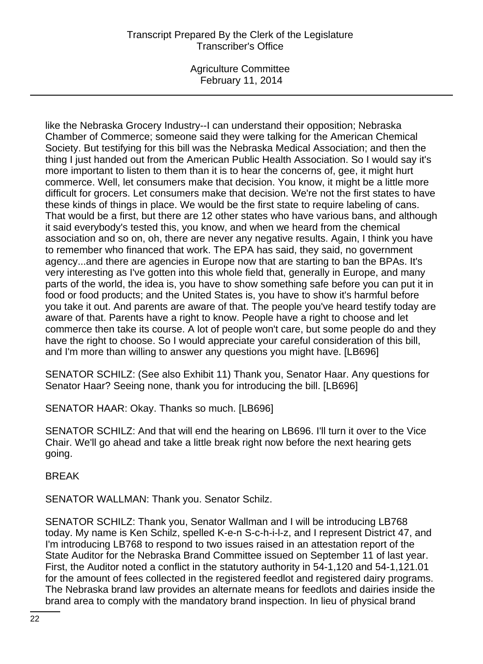Agriculture Committee February 11, 2014

like the Nebraska Grocery Industry--I can understand their opposition; Nebraska Chamber of Commerce; someone said they were talking for the American Chemical Society. But testifying for this bill was the Nebraska Medical Association; and then the thing I just handed out from the American Public Health Association. So I would say it's more important to listen to them than it is to hear the concerns of, gee, it might hurt commerce. Well, let consumers make that decision. You know, it might be a little more difficult for grocers. Let consumers make that decision. We're not the first states to have these kinds of things in place. We would be the first state to require labeling of cans. That would be a first, but there are 12 other states who have various bans, and although it said everybody's tested this, you know, and when we heard from the chemical association and so on, oh, there are never any negative results. Again, I think you have to remember who financed that work. The EPA has said, they said, no government agency...and there are agencies in Europe now that are starting to ban the BPAs. It's very interesting as I've gotten into this whole field that, generally in Europe, and many parts of the world, the idea is, you have to show something safe before you can put it in food or food products; and the United States is, you have to show it's harmful before you take it out. And parents are aware of that. The people you've heard testify today are aware of that. Parents have a right to know. People have a right to choose and let commerce then take its course. A lot of people won't care, but some people do and they have the right to choose. So I would appreciate your careful consideration of this bill, and I'm more than willing to answer any questions you might have. [LB696]

SENATOR SCHILZ: (See also Exhibit 11) Thank you, Senator Haar. Any questions for Senator Haar? Seeing none, thank you for introducing the bill. [LB696]

SENATOR HAAR: Okay. Thanks so much. [LB696]

SENATOR SCHILZ: And that will end the hearing on LB696. I'll turn it over to the Vice Chair. We'll go ahead and take a little break right now before the next hearing gets going.

BREAK

SENATOR WALLMAN: Thank you. Senator Schilz.

SENATOR SCHILZ: Thank you, Senator Wallman and I will be introducing LB768 today. My name is Ken Schilz, spelled K-e-n S-c-h-i-l-z, and I represent District 47, and I'm introducing LB768 to respond to two issues raised in an attestation report of the State Auditor for the Nebraska Brand Committee issued on September 11 of last year. First, the Auditor noted a conflict in the statutory authority in 54-1,120 and 54-1,121.01 for the amount of fees collected in the registered feedlot and registered dairy programs. The Nebraska brand law provides an alternate means for feedlots and dairies inside the brand area to comply with the mandatory brand inspection. In lieu of physical brand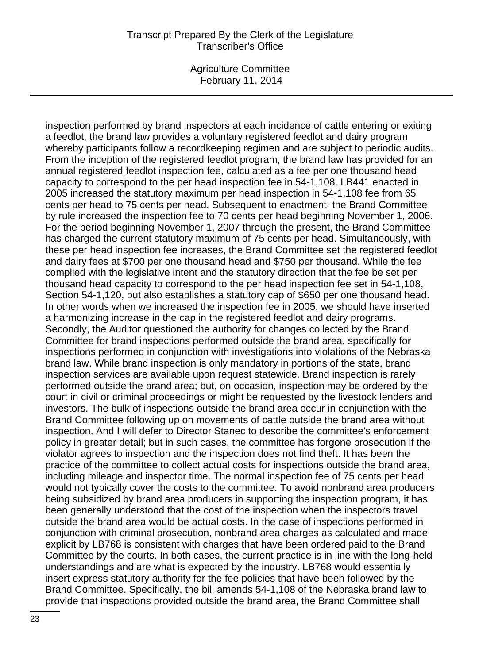Agriculture Committee February 11, 2014

inspection performed by brand inspectors at each incidence of cattle entering or exiting a feedlot, the brand law provides a voluntary registered feedlot and dairy program whereby participants follow a recordkeeping regimen and are subject to periodic audits. From the inception of the registered feedlot program, the brand law has provided for an annual registered feedlot inspection fee, calculated as a fee per one thousand head capacity to correspond to the per head inspection fee in 54-1,108. LB441 enacted in 2005 increased the statutory maximum per head inspection in 54-1,108 fee from 65 cents per head to 75 cents per head. Subsequent to enactment, the Brand Committee by rule increased the inspection fee to 70 cents per head beginning November 1, 2006. For the period beginning November 1, 2007 through the present, the Brand Committee has charged the current statutory maximum of 75 cents per head. Simultaneously, with these per head inspection fee increases, the Brand Committee set the registered feedlot and dairy fees at \$700 per one thousand head and \$750 per thousand. While the fee complied with the legislative intent and the statutory direction that the fee be set per thousand head capacity to correspond to the per head inspection fee set in 54-1,108, Section 54-1,120, but also establishes a statutory cap of \$650 per one thousand head. In other words when we increased the inspection fee in 2005, we should have inserted a harmonizing increase in the cap in the registered feedlot and dairy programs. Secondly, the Auditor questioned the authority for changes collected by the Brand Committee for brand inspections performed outside the brand area, specifically for inspections performed in conjunction with investigations into violations of the Nebraska brand law. While brand inspection is only mandatory in portions of the state, brand inspection services are available upon request statewide. Brand inspection is rarely performed outside the brand area; but, on occasion, inspection may be ordered by the court in civil or criminal proceedings or might be requested by the livestock lenders and investors. The bulk of inspections outside the brand area occur in conjunction with the Brand Committee following up on movements of cattle outside the brand area without inspection. And I will defer to Director Stanec to describe the committee's enforcement policy in greater detail; but in such cases, the committee has forgone prosecution if the violator agrees to inspection and the inspection does not find theft. It has been the practice of the committee to collect actual costs for inspections outside the brand area, including mileage and inspector time. The normal inspection fee of 75 cents per head would not typically cover the costs to the committee. To avoid nonbrand area producers being subsidized by brand area producers in supporting the inspection program, it has been generally understood that the cost of the inspection when the inspectors travel outside the brand area would be actual costs. In the case of inspections performed in conjunction with criminal prosecution, nonbrand area charges as calculated and made explicit by LB768 is consistent with charges that have been ordered paid to the Brand Committee by the courts. In both cases, the current practice is in line with the long-held understandings and are what is expected by the industry. LB768 would essentially insert express statutory authority for the fee policies that have been followed by the Brand Committee. Specifically, the bill amends 54-1,108 of the Nebraska brand law to provide that inspections provided outside the brand area, the Brand Committee shall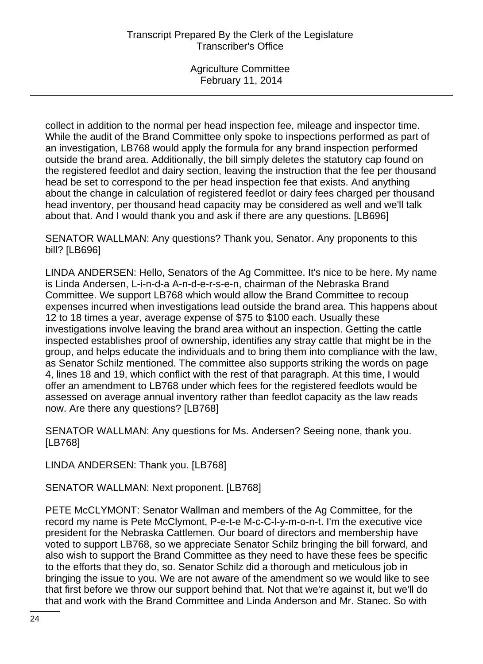collect in addition to the normal per head inspection fee, mileage and inspector time. While the audit of the Brand Committee only spoke to inspections performed as part of an investigation, LB768 would apply the formula for any brand inspection performed outside the brand area. Additionally, the bill simply deletes the statutory cap found on the registered feedlot and dairy section, leaving the instruction that the fee per thousand head be set to correspond to the per head inspection fee that exists. And anything about the change in calculation of registered feedlot or dairy fees charged per thousand head inventory, per thousand head capacity may be considered as well and we'll talk about that. And I would thank you and ask if there are any questions. [LB696]

SENATOR WALLMAN: Any questions? Thank you, Senator. Any proponents to this bill? [LB696]

LINDA ANDERSEN: Hello, Senators of the Ag Committee. It's nice to be here. My name is Linda Andersen, L-i-n-d-a A-n-d-e-r-s-e-n, chairman of the Nebraska Brand Committee. We support LB768 which would allow the Brand Committee to recoup expenses incurred when investigations lead outside the brand area. This happens about 12 to 18 times a year, average expense of \$75 to \$100 each. Usually these investigations involve leaving the brand area without an inspection. Getting the cattle inspected establishes proof of ownership, identifies any stray cattle that might be in the group, and helps educate the individuals and to bring them into compliance with the law, as Senator Schilz mentioned. The committee also supports striking the words on page 4, lines 18 and 19, which conflict with the rest of that paragraph. At this time, I would offer an amendment to LB768 under which fees for the registered feedlots would be assessed on average annual inventory rather than feedlot capacity as the law reads now. Are there any questions? [LB768]

SENATOR WALLMAN: Any questions for Ms. Andersen? Seeing none, thank you. [LB768]

LINDA ANDERSEN: Thank you. [LB768]

SENATOR WALLMAN: Next proponent. [LB768]

PETE McCLYMONT: Senator Wallman and members of the Ag Committee, for the record my name is Pete McClymont, P-e-t-e M-c-C-l-y-m-o-n-t. I'm the executive vice president for the Nebraska Cattlemen. Our board of directors and membership have voted to support LB768, so we appreciate Senator Schilz bringing the bill forward, and also wish to support the Brand Committee as they need to have these fees be specific to the efforts that they do, so. Senator Schilz did a thorough and meticulous job in bringing the issue to you. We are not aware of the amendment so we would like to see that first before we throw our support behind that. Not that we're against it, but we'll do that and work with the Brand Committee and Linda Anderson and Mr. Stanec. So with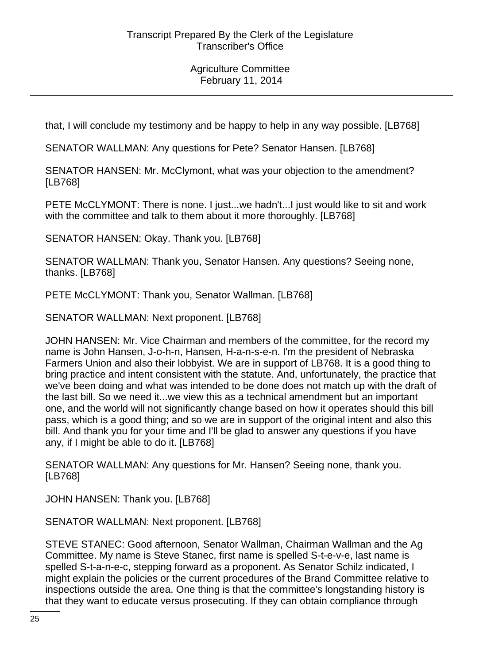that, I will conclude my testimony and be happy to help in any way possible. [LB768]

SENATOR WALLMAN: Any questions for Pete? Senator Hansen. [LB768]

SENATOR HANSEN: Mr. McClymont, what was your objection to the amendment? [LB768]

PETE McCLYMONT: There is none. I just...we hadn't...I just would like to sit and work with the committee and talk to them about it more thoroughly. [LB768]

SENATOR HANSEN: Okay. Thank you. [LB768]

SENATOR WALLMAN: Thank you, Senator Hansen. Any questions? Seeing none, thanks. [LB768]

PETE McCLYMONT: Thank you, Senator Wallman. [LB768]

SENATOR WALLMAN: Next proponent. [LB768]

JOHN HANSEN: Mr. Vice Chairman and members of the committee, for the record my name is John Hansen, J-o-h-n, Hansen, H-a-n-s-e-n. I'm the president of Nebraska Farmers Union and also their lobbyist. We are in support of LB768. It is a good thing to bring practice and intent consistent with the statute. And, unfortunately, the practice that we've been doing and what was intended to be done does not match up with the draft of the last bill. So we need it...we view this as a technical amendment but an important one, and the world will not significantly change based on how it operates should this bill pass, which is a good thing; and so we are in support of the original intent and also this bill. And thank you for your time and I'll be glad to answer any questions if you have any, if I might be able to do it. [LB768]

SENATOR WALLMAN: Any questions for Mr. Hansen? Seeing none, thank you. [LB768]

JOHN HANSEN: Thank you. [LB768]

SENATOR WALLMAN: Next proponent. [LB768]

STEVE STANEC: Good afternoon, Senator Wallman, Chairman Wallman and the Ag Committee. My name is Steve Stanec, first name is spelled S-t-e-v-e, last name is spelled S-t-a-n-e-c, stepping forward as a proponent. As Senator Schilz indicated, I might explain the policies or the current procedures of the Brand Committee relative to inspections outside the area. One thing is that the committee's longstanding history is that they want to educate versus prosecuting. If they can obtain compliance through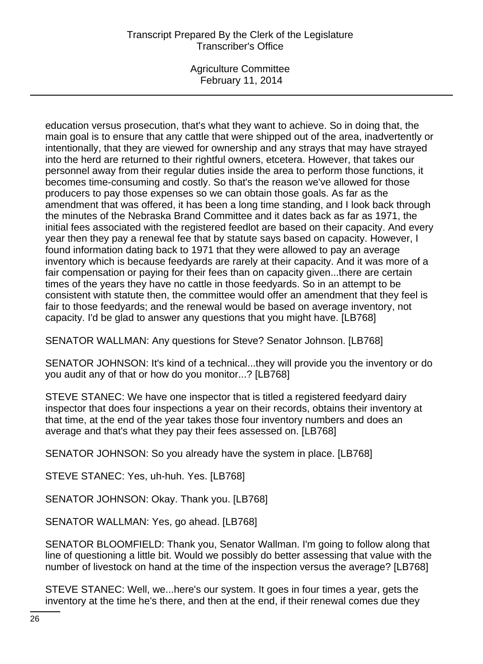Agriculture Committee February 11, 2014

education versus prosecution, that's what they want to achieve. So in doing that, the main goal is to ensure that any cattle that were shipped out of the area, inadvertently or intentionally, that they are viewed for ownership and any strays that may have strayed into the herd are returned to their rightful owners, etcetera. However, that takes our personnel away from their regular duties inside the area to perform those functions, it becomes time-consuming and costly. So that's the reason we've allowed for those producers to pay those expenses so we can obtain those goals. As far as the amendment that was offered, it has been a long time standing, and I look back through the minutes of the Nebraska Brand Committee and it dates back as far as 1971, the initial fees associated with the registered feedlot are based on their capacity. And every year then they pay a renewal fee that by statute says based on capacity. However, I found information dating back to 1971 that they were allowed to pay an average inventory which is because feedyards are rarely at their capacity. And it was more of a fair compensation or paying for their fees than on capacity given...there are certain times of the years they have no cattle in those feedyards. So in an attempt to be consistent with statute then, the committee would offer an amendment that they feel is fair to those feedyards; and the renewal would be based on average inventory, not capacity. I'd be glad to answer any questions that you might have. [LB768]

SENATOR WALLMAN: Any questions for Steve? Senator Johnson. [LB768]

SENATOR JOHNSON: It's kind of a technical...they will provide you the inventory or do you audit any of that or how do you monitor...? [LB768]

STEVE STANEC: We have one inspector that is titled a registered feedyard dairy inspector that does four inspections a year on their records, obtains their inventory at that time, at the end of the year takes those four inventory numbers and does an average and that's what they pay their fees assessed on. [LB768]

SENATOR JOHNSON: So you already have the system in place. [LB768]

STEVE STANEC: Yes, uh-huh. Yes. [LB768]

SENATOR JOHNSON: Okay. Thank you. [LB768]

SENATOR WALLMAN: Yes, go ahead. [LB768]

SENATOR BLOOMFIELD: Thank you, Senator Wallman. I'm going to follow along that line of questioning a little bit. Would we possibly do better assessing that value with the number of livestock on hand at the time of the inspection versus the average? [LB768]

STEVE STANEC: Well, we...here's our system. It goes in four times a year, gets the inventory at the time he's there, and then at the end, if their renewal comes due they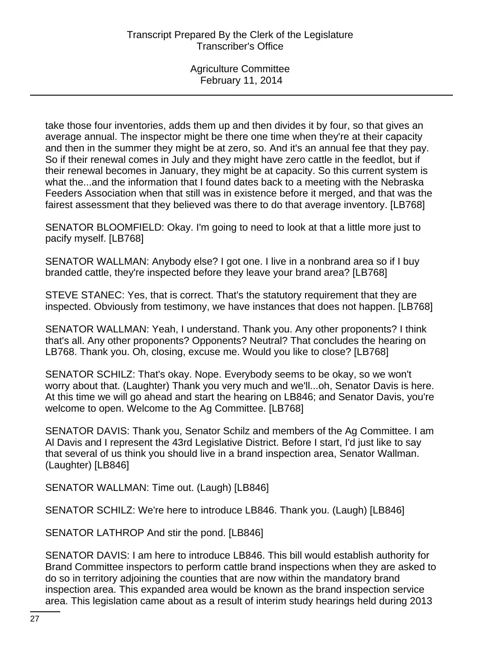take those four inventories, adds them up and then divides it by four, so that gives an average annual. The inspector might be there one time when they're at their capacity and then in the summer they might be at zero, so. And it's an annual fee that they pay. So if their renewal comes in July and they might have zero cattle in the feedlot, but if their renewal becomes in January, they might be at capacity. So this current system is what the...and the information that I found dates back to a meeting with the Nebraska Feeders Association when that still was in existence before it merged, and that was the fairest assessment that they believed was there to do that average inventory. [LB768]

SENATOR BLOOMFIELD: Okay. I'm going to need to look at that a little more just to pacify myself. [LB768]

SENATOR WALLMAN: Anybody else? I got one. I live in a nonbrand area so if I buy branded cattle, they're inspected before they leave your brand area? [LB768]

STEVE STANEC: Yes, that is correct. That's the statutory requirement that they are inspected. Obviously from testimony, we have instances that does not happen. [LB768]

SENATOR WALLMAN: Yeah, I understand. Thank you. Any other proponents? I think that's all. Any other proponents? Opponents? Neutral? That concludes the hearing on LB768. Thank you. Oh, closing, excuse me. Would you like to close? [LB768]

SENATOR SCHILZ: That's okay. Nope. Everybody seems to be okay, so we won't worry about that. (Laughter) Thank you very much and we'll...oh, Senator Davis is here. At this time we will go ahead and start the hearing on LB846; and Senator Davis, you're welcome to open. Welcome to the Ag Committee. [LB768]

SENATOR DAVIS: Thank you, Senator Schilz and members of the Ag Committee. I am Al Davis and I represent the 43rd Legislative District. Before I start, I'd just like to say that several of us think you should live in a brand inspection area, Senator Wallman. (Laughter) [LB846]

SENATOR WALLMAN: Time out. (Laugh) [LB846]

SENATOR SCHILZ: We're here to introduce LB846. Thank you. (Laugh) [LB846]

SENATOR LATHROP And stir the pond. [LB846]

SENATOR DAVIS: I am here to introduce LB846. This bill would establish authority for Brand Committee inspectors to perform cattle brand inspections when they are asked to do so in territory adjoining the counties that are now within the mandatory brand inspection area. This expanded area would be known as the brand inspection service area. This legislation came about as a result of interim study hearings held during 2013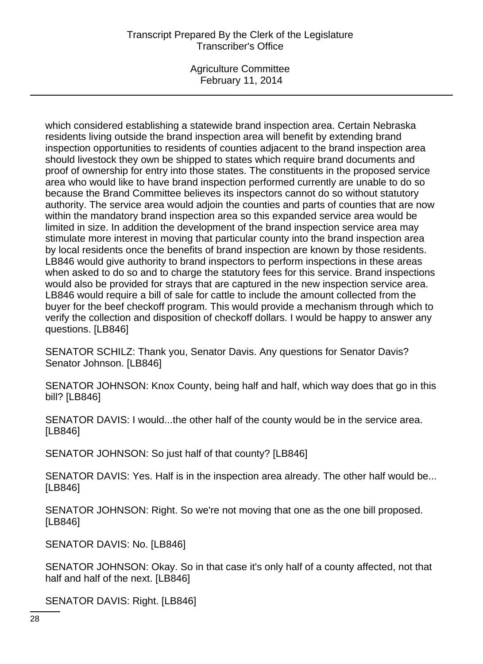Agriculture Committee February 11, 2014

which considered establishing a statewide brand inspection area. Certain Nebraska residents living outside the brand inspection area will benefit by extending brand inspection opportunities to residents of counties adjacent to the brand inspection area should livestock they own be shipped to states which require brand documents and proof of ownership for entry into those states. The constituents in the proposed service area who would like to have brand inspection performed currently are unable to do so because the Brand Committee believes its inspectors cannot do so without statutory authority. The service area would adjoin the counties and parts of counties that are now within the mandatory brand inspection area so this expanded service area would be limited in size. In addition the development of the brand inspection service area may stimulate more interest in moving that particular county into the brand inspection area by local residents once the benefits of brand inspection are known by those residents. LB846 would give authority to brand inspectors to perform inspections in these areas when asked to do so and to charge the statutory fees for this service. Brand inspections would also be provided for strays that are captured in the new inspection service area. LB846 would require a bill of sale for cattle to include the amount collected from the buyer for the beef checkoff program. This would provide a mechanism through which to verify the collection and disposition of checkoff dollars. I would be happy to answer any questions. [LB846]

SENATOR SCHILZ: Thank you, Senator Davis. Any questions for Senator Davis? Senator Johnson. [LB846]

SENATOR JOHNSON: Knox County, being half and half, which way does that go in this bill? [LB846]

SENATOR DAVIS: I would...the other half of the county would be in the service area. [LB846]

SENATOR JOHNSON: So just half of that county? [LB846]

SENATOR DAVIS: Yes. Half is in the inspection area already. The other half would be... [LB846]

SENATOR JOHNSON: Right. So we're not moving that one as the one bill proposed. [LB846]

SENATOR DAVIS: No. [LB846]

SENATOR JOHNSON: Okay. So in that case it's only half of a county affected, not that half and half of the next. [LB846]

SENATOR DAVIS: Right. [LB846]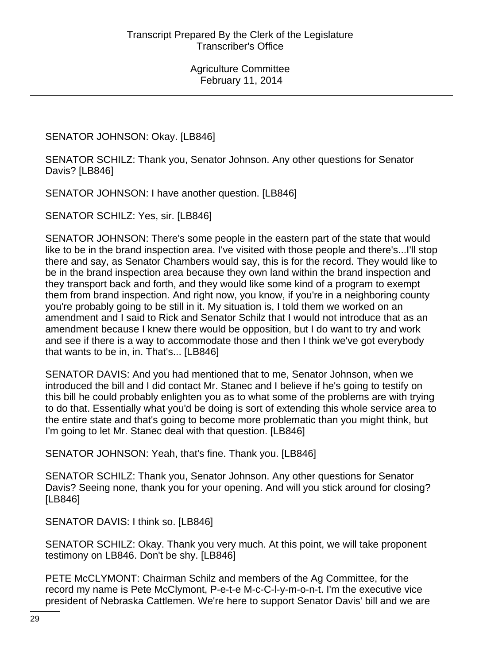SENATOR JOHNSON: Okay. [LB846]

SENATOR SCHILZ: Thank you, Senator Johnson. Any other questions for Senator Davis? [LB846]

SENATOR JOHNSON: I have another question. [LB846]

SENATOR SCHILZ: Yes, sir. [LB846]

SENATOR JOHNSON: There's some people in the eastern part of the state that would like to be in the brand inspection area. I've visited with those people and there's...I'll stop there and say, as Senator Chambers would say, this is for the record. They would like to be in the brand inspection area because they own land within the brand inspection and they transport back and forth, and they would like some kind of a program to exempt them from brand inspection. And right now, you know, if you're in a neighboring county you're probably going to be still in it. My situation is, I told them we worked on an amendment and I said to Rick and Senator Schilz that I would not introduce that as an amendment because I knew there would be opposition, but I do want to try and work and see if there is a way to accommodate those and then I think we've got everybody that wants to be in, in. That's... [LB846]

SENATOR DAVIS: And you had mentioned that to me, Senator Johnson, when we introduced the bill and I did contact Mr. Stanec and I believe if he's going to testify on this bill he could probably enlighten you as to what some of the problems are with trying to do that. Essentially what you'd be doing is sort of extending this whole service area to the entire state and that's going to become more problematic than you might think, but I'm going to let Mr. Stanec deal with that question. [LB846]

SENATOR JOHNSON: Yeah, that's fine. Thank you. [LB846]

SENATOR SCHILZ: Thank you, Senator Johnson. Any other questions for Senator Davis? Seeing none, thank you for your opening. And will you stick around for closing? [LB846]

SENATOR DAVIS: I think so. [LB846]

SENATOR SCHILZ: Okay. Thank you very much. At this point, we will take proponent testimony on LB846. Don't be shy. [LB846]

PETE McCLYMONT: Chairman Schilz and members of the Ag Committee, for the record my name is Pete McClymont, P-e-t-e M-c-C-l-y-m-o-n-t. I'm the executive vice president of Nebraska Cattlemen. We're here to support Senator Davis' bill and we are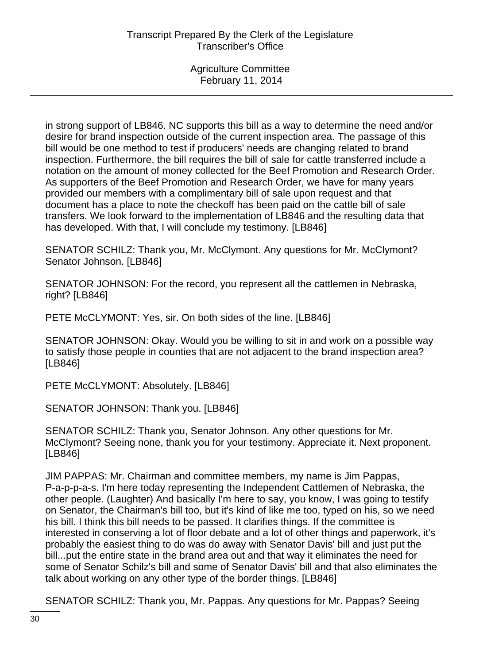in strong support of LB846. NC supports this bill as a way to determine the need and/or desire for brand inspection outside of the current inspection area. The passage of this bill would be one method to test if producers' needs are changing related to brand inspection. Furthermore, the bill requires the bill of sale for cattle transferred include a notation on the amount of money collected for the Beef Promotion and Research Order. As supporters of the Beef Promotion and Research Order, we have for many years provided our members with a complimentary bill of sale upon request and that document has a place to note the checkoff has been paid on the cattle bill of sale transfers. We look forward to the implementation of LB846 and the resulting data that has developed. With that, I will conclude my testimony. [LB846]

SENATOR SCHILZ: Thank you, Mr. McClymont. Any questions for Mr. McClymont? Senator Johnson. [LB846]

SENATOR JOHNSON: For the record, you represent all the cattlemen in Nebraska, right? [LB846]

PETE McCLYMONT: Yes, sir. On both sides of the line. [LB846]

SENATOR JOHNSON: Okay. Would you be willing to sit in and work on a possible way to satisfy those people in counties that are not adjacent to the brand inspection area? [LB846]

PETE McCLYMONT: Absolutely. [LB846]

SENATOR JOHNSON: Thank you. [LB846]

SENATOR SCHILZ: Thank you, Senator Johnson. Any other questions for Mr. McClymont? Seeing none, thank you for your testimony. Appreciate it. Next proponent. [LB846]

JIM PAPPAS: Mr. Chairman and committee members, my name is Jim Pappas, P-a-p-p-a-s. I'm here today representing the Independent Cattlemen of Nebraska, the other people. (Laughter) And basically I'm here to say, you know, I was going to testify on Senator, the Chairman's bill too, but it's kind of like me too, typed on his, so we need his bill. I think this bill needs to be passed. It clarifies things. If the committee is interested in conserving a lot of floor debate and a lot of other things and paperwork, it's probably the easiest thing to do was do away with Senator Davis' bill and just put the bill...put the entire state in the brand area out and that way it eliminates the need for some of Senator Schilz's bill and some of Senator Davis' bill and that also eliminates the talk about working on any other type of the border things. [LB846]

SENATOR SCHILZ: Thank you, Mr. Pappas. Any questions for Mr. Pappas? Seeing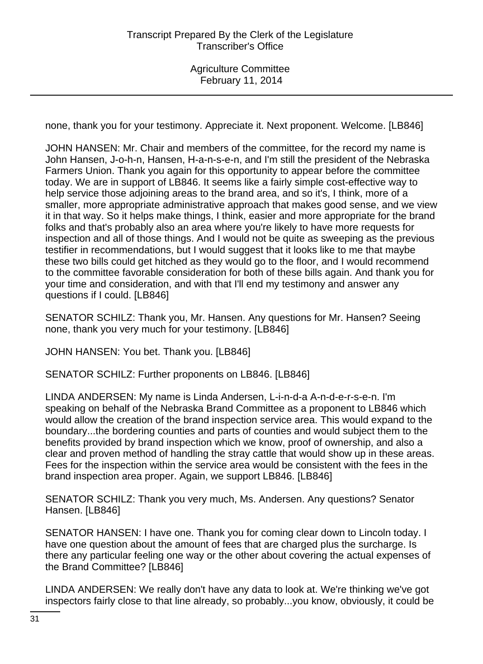none, thank you for your testimony. Appreciate it. Next proponent. Welcome. [LB846]

JOHN HANSEN: Mr. Chair and members of the committee, for the record my name is John Hansen, J-o-h-n, Hansen, H-a-n-s-e-n, and I'm still the president of the Nebraska Farmers Union. Thank you again for this opportunity to appear before the committee today. We are in support of LB846. It seems like a fairly simple cost-effective way to help service those adjoining areas to the brand area, and so it's, I think, more of a smaller, more appropriate administrative approach that makes good sense, and we view it in that way. So it helps make things, I think, easier and more appropriate for the brand folks and that's probably also an area where you're likely to have more requests for inspection and all of those things. And I would not be quite as sweeping as the previous testifier in recommendations, but I would suggest that it looks like to me that maybe these two bills could get hitched as they would go to the floor, and I would recommend to the committee favorable consideration for both of these bills again. And thank you for your time and consideration, and with that I'll end my testimony and answer any questions if I could. [LB846]

SENATOR SCHILZ: Thank you, Mr. Hansen. Any questions for Mr. Hansen? Seeing none, thank you very much for your testimony. [LB846]

JOHN HANSEN: You bet. Thank you. [LB846]

SENATOR SCHILZ: Further proponents on LB846. [LB846]

LINDA ANDERSEN: My name is Linda Andersen, L-i-n-d-a A-n-d-e-r-s-e-n. I'm speaking on behalf of the Nebraska Brand Committee as a proponent to LB846 which would allow the creation of the brand inspection service area. This would expand to the boundary...the bordering counties and parts of counties and would subject them to the benefits provided by brand inspection which we know, proof of ownership, and also a clear and proven method of handling the stray cattle that would show up in these areas. Fees for the inspection within the service area would be consistent with the fees in the brand inspection area proper. Again, we support LB846. [LB846]

SENATOR SCHILZ: Thank you very much, Ms. Andersen. Any questions? Senator Hansen. [LB846]

SENATOR HANSEN: I have one. Thank you for coming clear down to Lincoln today. I have one question about the amount of fees that are charged plus the surcharge. Is there any particular feeling one way or the other about covering the actual expenses of the Brand Committee? [LB846]

LINDA ANDERSEN: We really don't have any data to look at. We're thinking we've got inspectors fairly close to that line already, so probably...you know, obviously, it could be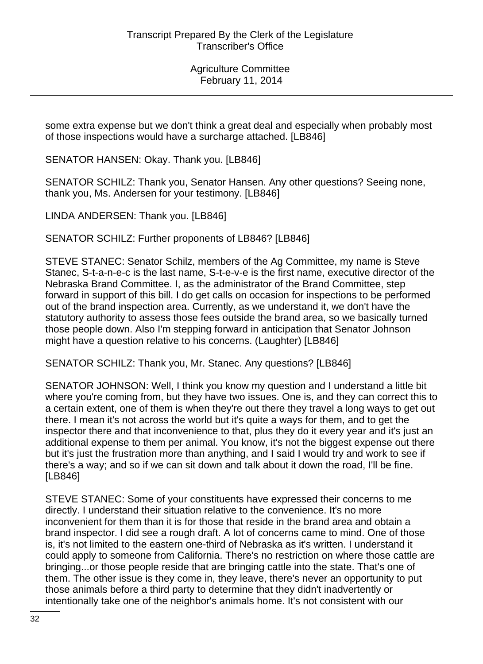some extra expense but we don't think a great deal and especially when probably most of those inspections would have a surcharge attached. [LB846]

SENATOR HANSEN: Okay. Thank you. [LB846]

SENATOR SCHILZ: Thank you, Senator Hansen. Any other questions? Seeing none, thank you, Ms. Andersen for your testimony. [LB846]

LINDA ANDERSEN: Thank you. [LB846]

SENATOR SCHILZ: Further proponents of LB846? [LB846]

STEVE STANEC: Senator Schilz, members of the Ag Committee, my name is Steve Stanec, S-t-a-n-e-c is the last name, S-t-e-v-e is the first name, executive director of the Nebraska Brand Committee. I, as the administrator of the Brand Committee, step forward in support of this bill. I do get calls on occasion for inspections to be performed out of the brand inspection area. Currently, as we understand it, we don't have the statutory authority to assess those fees outside the brand area, so we basically turned those people down. Also I'm stepping forward in anticipation that Senator Johnson might have a question relative to his concerns. (Laughter) [LB846]

SENATOR SCHILZ: Thank you, Mr. Stanec. Any questions? [LB846]

SENATOR JOHNSON: Well, I think you know my question and I understand a little bit where you're coming from, but they have two issues. One is, and they can correct this to a certain extent, one of them is when they're out there they travel a long ways to get out there. I mean it's not across the world but it's quite a ways for them, and to get the inspector there and that inconvenience to that, plus they do it every year and it's just an additional expense to them per animal. You know, it's not the biggest expense out there but it's just the frustration more than anything, and I said I would try and work to see if there's a way; and so if we can sit down and talk about it down the road, I'll be fine. [LB846]

STEVE STANEC: Some of your constituents have expressed their concerns to me directly. I understand their situation relative to the convenience. It's no more inconvenient for them than it is for those that reside in the brand area and obtain a brand inspector. I did see a rough draft. A lot of concerns came to mind. One of those is, it's not limited to the eastern one-third of Nebraska as it's written. I understand it could apply to someone from California. There's no restriction on where those cattle are bringing...or those people reside that are bringing cattle into the state. That's one of them. The other issue is they come in, they leave, there's never an opportunity to put those animals before a third party to determine that they didn't inadvertently or intentionally take one of the neighbor's animals home. It's not consistent with our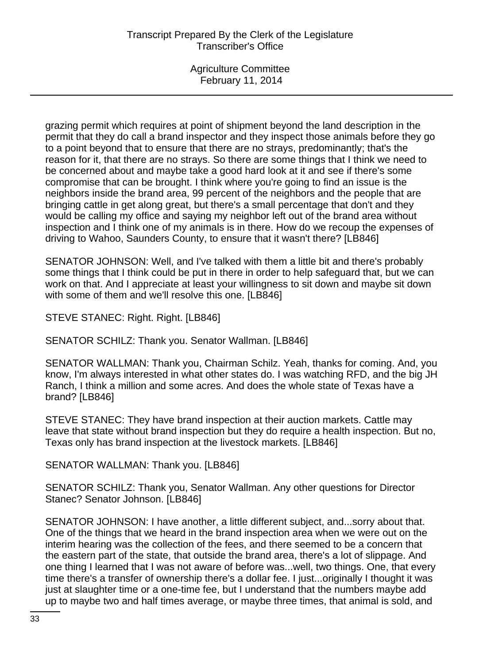grazing permit which requires at point of shipment beyond the land description in the permit that they do call a brand inspector and they inspect those animals before they go to a point beyond that to ensure that there are no strays, predominantly; that's the reason for it, that there are no strays. So there are some things that I think we need to be concerned about and maybe take a good hard look at it and see if there's some compromise that can be brought. I think where you're going to find an issue is the neighbors inside the brand area, 99 percent of the neighbors and the people that are bringing cattle in get along great, but there's a small percentage that don't and they would be calling my office and saying my neighbor left out of the brand area without inspection and I think one of my animals is in there. How do we recoup the expenses of driving to Wahoo, Saunders County, to ensure that it wasn't there? [LB846]

SENATOR JOHNSON: Well, and I've talked with them a little bit and there's probably some things that I think could be put in there in order to help safeguard that, but we can work on that. And I appreciate at least your willingness to sit down and maybe sit down with some of them and we'll resolve this one. [LB846]

STEVE STANEC: Right. Right. [LB846]

SENATOR SCHILZ: Thank you. Senator Wallman. [LB846]

SENATOR WALLMAN: Thank you, Chairman Schilz. Yeah, thanks for coming. And, you know, I'm always interested in what other states do. I was watching RFD, and the big JH Ranch, I think a million and some acres. And does the whole state of Texas have a brand? [LB846]

STEVE STANEC: They have brand inspection at their auction markets. Cattle may leave that state without brand inspection but they do require a health inspection. But no, Texas only has brand inspection at the livestock markets. [LB846]

SENATOR WALLMAN: Thank you. [LB846]

SENATOR SCHILZ: Thank you, Senator Wallman. Any other questions for Director Stanec? Senator Johnson. [LB846]

SENATOR JOHNSON: I have another, a little different subject, and...sorry about that. One of the things that we heard in the brand inspection area when we were out on the interim hearing was the collection of the fees, and there seemed to be a concern that the eastern part of the state, that outside the brand area, there's a lot of slippage. And one thing I learned that I was not aware of before was...well, two things. One, that every time there's a transfer of ownership there's a dollar fee. I just...originally I thought it was just at slaughter time or a one-time fee, but I understand that the numbers maybe add up to maybe two and half times average, or maybe three times, that animal is sold, and